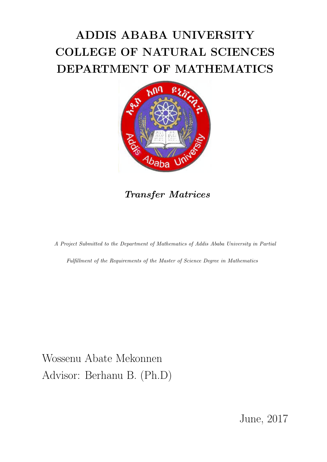# ADDIS ABABA UNIVERSITY COLLEGE OF NATURAL SCIENCES DEPARTMENT OF MATHEMATICS



Transfer Matrices

A Project Submitted to the Department of Mathematics of Addis Ababa University in Partial

Fulfillment of the Requirements of the Master of Science Degree in Mathematics

Wossenu Abate Mekonnen Advisor: Berhanu B. (Ph.D)

June, 2017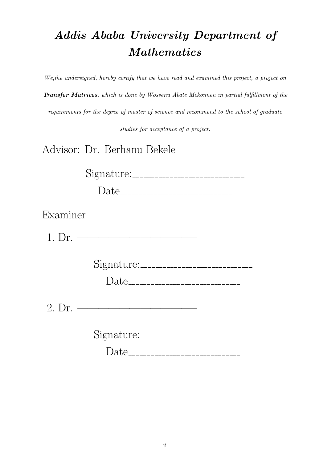# Addis Ababa University Department of Mathematics

We,the undersigned, hereby certify that we have read and examined this project, a project on Transfer Matrices, which is done by Wossenu Abate Mekonnen in partial fulfillment of the requirements for the degree of master of science and recommend to the school of graduate studies for acceptance of a project.

Advisor: Dr. Berhanu Bekele

Signature:

Date

Examiner

1. Dr. ———————————–

Signature:

Date

2. Dr. ———————————–

Signature:

Date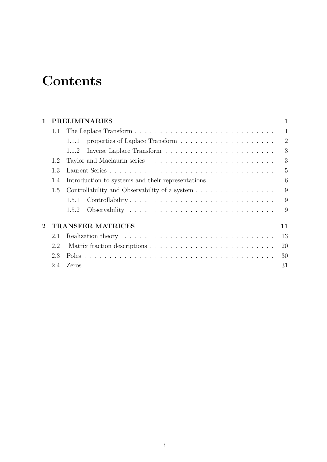# **Contents**

| 1              |     | <b>PRELIMINARIES</b><br>1                         |                |  |
|----------------|-----|---------------------------------------------------|----------------|--|
|                | 1.1 |                                                   | $\mathbf{1}$   |  |
|                |     | 1.1.1                                             | $\overline{2}$ |  |
|                |     | 1.1.2                                             | 3              |  |
|                | 1.2 |                                                   | 3              |  |
|                | 1.3 |                                                   | 5              |  |
|                | 1.4 | Introduction to systems and their representations | 6              |  |
|                | 1.5 | Controllability and Observability of a system     | 9              |  |
|                |     | Controllability<br>1.5.1                          | 9              |  |
|                |     | 1.5.2                                             | 9              |  |
| $\overline{2}$ |     | <b>TRANSFER MATRICES</b>                          | 11             |  |
|                | 2.1 |                                                   | 13             |  |
|                | 2.2 |                                                   | 20             |  |
|                | 2.3 |                                                   | 30             |  |
|                | 2.4 |                                                   | 31             |  |
|                |     |                                                   |                |  |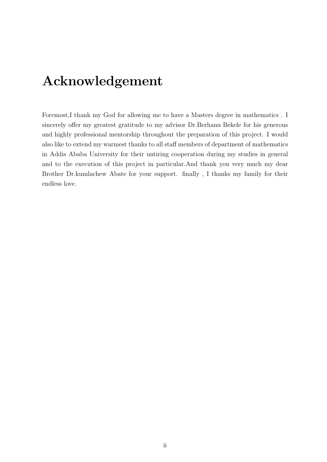## Acknowledgement

Foremost,I thank my God for allowing me to have a Masters degree in mathematics . I sincerely offer my greatest gratitude to my advisor Dr.Berhanu Bekele for his generous and highly professional mentorship throughout the preparation of this project. I would also like to extend my warmest thanks to all staff members of department of mathematics in Addis Ababa University for their untiring cooperation during my studies in general and to the execution of this project in particular.And thank you very much my dear Brother Dr.kumlachew Abate for your support. finally , I thanks my family for their endless love.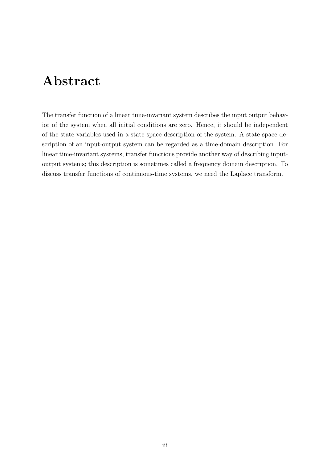# Abstract

The transfer function of a linear time-invariant system describes the input output behavior of the system when all initial conditions are zero. Hence, it should be independent of the state variables used in a state space description of the system. A state space description of an input-output system can be regarded as a time-domain description. For linear time-invariant systems, transfer functions provide another way of describing inputoutput systems; this description is sometimes called a frequency domain description. To discuss transfer functions of continuous-time systems, we need the Laplace transform.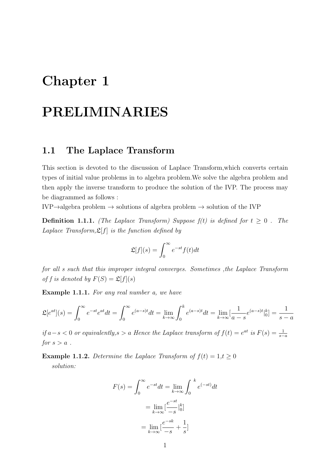# Chapter 1

# PRELIMINARIES

## 1.1 The Laplace Transform

This section is devoted to the discussion of Laplace Transform,which converts certain types of initial value problems in to algebra problem.We solve the algebra problem and then apply the inverse transform to produce the solution of the IVP. The process may be diagrammed as follows :

IVP $\rightarrow$ algebra problem  $\rightarrow$  solutions of algebra problem  $\rightarrow$  solution of the IVP

**Definition 1.1.1.** (The Laplace Transform) Suppose  $f(t)$  is defined for  $t \geq 0$ . The Laplace Transform,  $\mathfrak{L}[f]$  is the function defined by

$$
\mathfrak{L}[f](s) = \int_0^\infty e^{-st} f(t) dt
$$

for all s such that this improper integral converges. Sometimes ,the Laplace Transform of f is denoted by  $F(S) = \mathfrak{L}[f](s)$ 

Example 1.1.1. For any real number a, we have

$$
\mathfrak{L}[e^{at}](s) = \int_0^\infty e^{-st}e^{at}dt = \int_0^\infty e^{(a-s)t}dt = \lim_{k \to \infty} \int_0^k e^{(a-s)t}dt = \lim_{k \to \infty} \left[ \frac{1}{a-s} e^{(a-s)t} \Big|_0^k \right] = \frac{1}{s-a}
$$

if  $a-s < 0$  or equivalently,s > a Hence the Laplace transform of  $f(t) = e^{at}$  is  $F(s) = \frac{1}{s-a}$ for  $s > a$ .

**Example 1.1.2.** Determine the Laplace Transform of  $f(t) = 1, t \ge 0$ solution:

$$
F(s) = \int_0^\infty e^{-st} dt = \lim_{k \to \infty} \int_0^k e^{(-st)} dt
$$

$$
= \lim_{k \to \infty} \left[ \frac{e^{-st}}{-s} \Big|_0^k \right]
$$

$$
= \lim_{k \to \infty} \left[ \frac{e^{-sk}}{-s} + \frac{1}{s} \right]
$$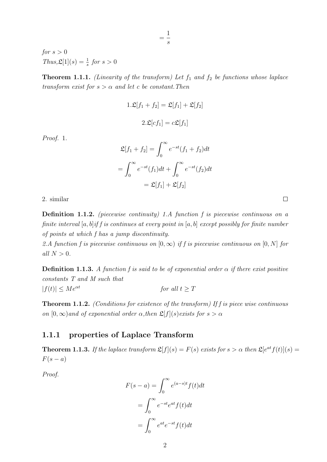for  $s > 0$  $Thus, \mathfrak{L}[1](s) = \frac{1}{s}$  for  $s > 0$ 

**Theorem 1.1.1.** (Linearity of the transform) Let  $f_1$  and  $f_2$  be functions whose laplace transform exist for  $s > \alpha$  and let c be constant. Then

= 1 s

$$
1.\mathfrak{L}[f_1 + f_2] = \mathfrak{L}[f_1] + \mathfrak{L}[f_2]
$$

$$
2.\mathfrak{L}[cf_1] = c\mathfrak{L}[f_1]
$$

Proof. 1.

$$
\mathfrak{L}[f_1 + f_2] = \int_0^\infty e^{-st} (f_1 + f_2) dt
$$

$$
= \int_0^\infty e^{-st} (f_1) dt + \int_0^\infty e^{-st} (f_2) dt
$$

$$
= \mathfrak{L}[f_1] + \mathfrak{L}[f_2]
$$

2. similar

Definition 1.1.2. (piecewise continuity) 1.A function f is piecewise continuous on a finite interval  $[a, b]$  if f is continues at every point in  $[a, b]$  except possibly for finite number of points at which f has a jump discontinuity.

2.A function f is piecewise continuous on  $[0, \infty)$  if f is piecewise continuous on  $[0, N]$  for all  $N > 0$ .

**Definition 1.1.3.** A function f is said to be of exponential order  $\alpha$  if there exist positive constants T and M such that  $|f(t)| \le Me^{\alpha t}$  for all  $t \ge T$ 

Theorem 1.1.2. (Conditions for existence of the transform) If f is piece wise continuous on  $[0, \infty)$  and of exponential order  $\alpha$ , then  $\mathfrak{L}[f](s)$  exists for  $s > \alpha$ 

#### 1.1.1 properties of Laplace Transform

**Theorem 1.1.3.** If the laplace transform  $\mathfrak{L}[f](s) = F(s)$  exists for  $s > \alpha$  then  $\mathfrak{L}[e^{at}f(t)](s) =$  $F(s-a)$ 

Proof.

$$
F(s-a) = \int_0^\infty e^{(a-s)t} f(t)dt
$$
  
= 
$$
\int_0^\infty e^{-st} e^{at} f(t)dt
$$
  
= 
$$
\int_0^\infty e^{at} e^{-st} f(t)dt
$$

 $\Box$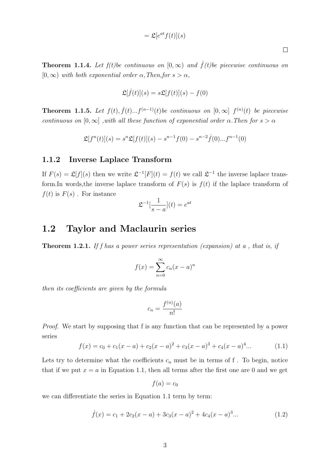$$
= \mathfrak{L}[e^{at}f(t)](s)
$$

**Theorem 1.1.4.** Let  $f(t)$ be continuous on  $[0, \infty)$  and  $\dot{f}(t)$ be piecewise continuous on  $[0,\infty)$  with both exponential order  $\alpha$ , Then, for  $s > \alpha$ ,

$$
\mathfrak{L}[f(t)](s) = s\mathfrak{L}[f(t)](s) - f(0)
$$

**Theorem 1.1.5.** Let  $f(t), \dot{f}(t)...f^{(n-1)}(t)$  be continuous on  $[0, \infty]$   $f^{(n)}(t)$  be piecewise continuous on  $[0,\infty]$ , with all these function of exponential order  $\alpha$ . Then for  $s > \alpha$ 

$$
\mathfrak{L}[f^{n}(t)](s) = s^{n}\mathfrak{L}[f(t)](s) - s^{n-1}f(0) - s^{n-2}\dot{f}(0)...f^{n-1}(0)
$$

#### 1.1.2 Inverse Laplace Transform

If  $F(s) = \mathfrak{L}[f](s)$  then we write  $\mathfrak{L}^{-1}[F](t) = f(t)$  we call  $\mathfrak{L}^{-1}$  the inverse laplace transform.In words, the inverse laplace transform of  $F(s)$  is  $f(t)$  if the laplace transform of  $f(t)$  is  $F(s)$ . For instance

$$
\mathfrak{L}^{-1}[\frac{1}{s-a}](t) = e^{at}
$$

### 1.2 Taylor and Maclaurin series

**Theorem 1.2.1.** If f has a power series representation (expansion) at a, that is, if

$$
f(x) = \sum_{n=0}^{\infty} c_n (x - a)^n
$$

then its coefficients are given by the formula

$$
c_n = \frac{f^{(n)}(a)}{n!}
$$

Proof. We start by supposing that f is any function that can be represented by a power series

$$
f(x) = c_0 + c_1(x - a) + c_2(x - a)^2 + c_3(x - a)^3 + c_4(x - a)^4 \dots
$$
 (1.1)

Lets try to determine what the coefficients  $c_n$  must be in terms of f. To begin, notice that if we put  $x = a$  in Equation 1.1, then all terms after the first one are 0 and we get

$$
f(a)=c_0
$$

we can differentiate the series in Equation 1.1 term by term:

$$
\dot{f}(x) = c_1 + 2c_2(x - a) + 3c_3(x - a)^2 + 4c_4(x - a)^3 \dots \tag{1.2}
$$

 $\Box$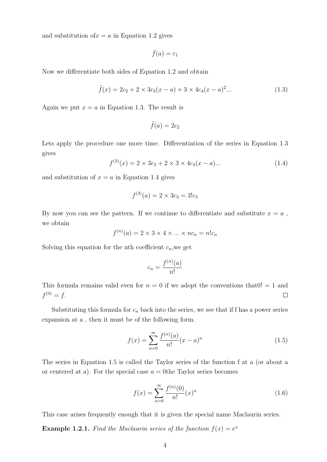and substitution of  $x = a$  in Equation 1.2 gives

$$
\dot{f}(a)=c_1
$$

Now we differentiate both sides of Equation 1.2 and obtain

$$
\ddot{f}(x) = 2c_2 + 2 \times 3c_3(x - a) + 3 \times 4c_4(x - a)^2 \dots \tag{1.3}
$$

Again we put  $x = a$  in Equation 1.3. The result is

$$
\ddot{f}(a) = 2c_2
$$

Lets apply the procedure one more time. Differentiation of the series in Equation 1.3 gives

$$
f^{(3)}(x) = 2 \times 3c_3 + 2 \times 3 \times 4c_4(x - a) \dots \tag{1.4}
$$

and substitution of  $x = a$  in Equation 1.4 gives

$$
f^{(3)}(a) = 2 \times 3c_3 = 3!c_3
$$

By now you can see the pattern. If we continue to differentiate and substitute  $x = a$ , we obtain

$$
f^{(n)}(a) = 2 \times 3 \times 4 \times \dots \times nc_n = n!c_n
$$

Solving this equation for the nth coefficient  $c_n$ , we get

$$
c_n = \frac{f^{(n)}(a)}{n!}
$$

This formula remains valid even for  $n = 0$  if we adopt the conventions that  $0! = 1$  and  $f^{(0)} = f.$  $\Box$ 

Substituting this formula for  $c_n$  back into the series, we see that if f has a power series expansion at a , then it must be of the following form.

$$
f(x) = \sum_{n=0}^{\infty} \frac{f^{(n)}(a)}{n!} (x - a)^n
$$
 (1.5)

The series in Equation 1.5 is called the Taylor series of the function f at a (or about a or centered at a). For the special case  $a = 0$ the Taylor series becomes

$$
f(x) = \sum_{n=0}^{\infty} \frac{f^{(n)}(0)}{n!} (x)^n
$$
\n(1.6)

This case arises frequently enough that it is given the special name Maclaurin series.

**Example 1.2.1.** Find the Maclaurin series of the function  $f(x) = e^x$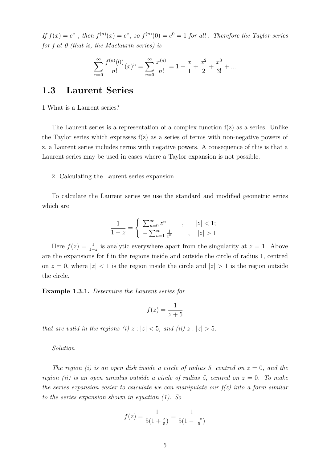If  $f(x) = e^x$ , then  $f^{(n)}(x) = e^x$ , so  $f^{(n)}(0) = e^0 = 1$  for all. Therefore the Taylor series for f at 0 (that is, the Maclaurin series) is

$$
\sum_{n=0}^{\infty} \frac{f^{(n)}(0)}{n!} (x)^n = \sum_{n=0}^{\infty} \frac{x^{(n)}}{n!} = 1 + \frac{x}{1} + \frac{x^2}{2} + \frac{x^3}{3!} + \dots
$$

## 1.3 Laurent Series

1 What is a Laurent series?

The Laurent series is a representation of a complex function  $f(z)$  as a series. Unlike the Taylor series which expresses  $f(z)$  as a series of terms with non-negative powers of z, a Laurent series includes terms with negative powers. A consequence of this is that a Laurent series may be used in cases where a Taylor expansion is not possible.

#### 2. Calculating the Laurent series expansion

To calculate the Laurent series we use the standard and modified geometric series which are

$$
\frac{1}{1-z} = \begin{cases} \sum_{n=0}^{\infty} z^n, & |z| < 1; \\ -\sum_{n=1}^{\infty} \frac{1}{z^n}, & |z| > 1 \end{cases}
$$

Here  $f(z) = \frac{1}{1-z}$  is analytic everywhere apart from the singularity at  $z = 1$ . Above are the expansions for f in the regions inside and outside the circle of radius 1, centred on  $z = 0$ , where  $|z| < 1$  is the region inside the circle and  $|z| > 1$  is the region outside the circle.

Example 1.3.1. Determine the Laurent series for

$$
f(z) = \frac{1}{z+5}
$$

that are valid in the regions (i)  $z : |z| < 5$ , and (ii)  $z : |z| > 5$ .

Solution

The region (i) is an open disk inside a circle of radius 5, centred on  $z = 0$ , and the region (ii) is an open annulus outside a circle of radius 5, centred on  $z = 0$ . To make the series expansion easier to calculate we can manipulate our  $f(z)$  into a form similar to the series expansion shown in equation (1). So

$$
f(z) = \frac{1}{5(1 + \frac{z}{5})} = \frac{1}{5(1 - \frac{-z}{5})}
$$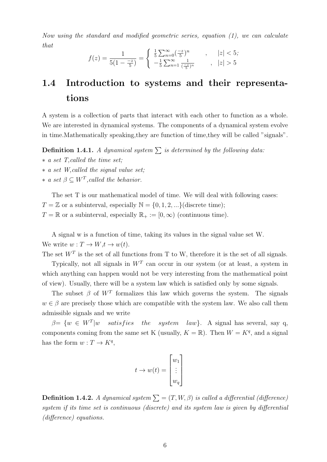Now using the standard and modified geometric series, equation (1), we can calculate that

$$
f(z) = \frac{1}{5(1 - \frac{-z}{5})} = \begin{cases} \frac{1}{5} \sum_{n=0}^{\infty} (\frac{-z}{5})^n, & |z| < 5; \\ -\frac{1}{5} \sum_{n=1}^{\infty} \frac{1}{(\frac{-z}{5})^n}, & |z| > 5 \end{cases}
$$

## 1.4 Introduction to systems and their representations

A system is a collection of parts that interact with each other to function as a whole. We are interested in dynamical systems. The components of a dynamical system evolve in time.Mathematically speaking,they are function of time,they will be called "signals".

**Definition 1.4.1.** A dynamical system  $\sum$  is determined by the following data:

- ∗ a set T,called the time set;
- ∗ a set W,called the signal value set;
- $* a set  $\beta \subseteq W^T$ , called the behavior.$

The set T is our mathematical model of time. We will deal with following cases:  $T = \mathbb{Z}$  or a subinterval, especially  $\mathbb{N} = \{0, 1, 2, ...\}$  (discrete time);  $T = \mathbb{R}$  or a subinterval, especially  $\mathbb{R}_+ := [0, \infty)$  (continuous time).

A signal w is a function of time, taking its values in the signal value set W. We write  $w: T \to W, t \to w(t)$ .

The set  $W<sup>T</sup>$  is the set of all functions from T to W, therefore it is the set of all signals.

Typically, not all signals in  $W<sup>T</sup>$  can occur in our system (or at least, a system in which anything can happen would not be very interesting from the mathematical point of view). Usually, there will be a system law which is satisfied only by some signals.

The subset  $\beta$  of  $W^T$  formalizes this law which governs the system. The signals  $w \in \beta$  are precisely those which are compatible with the system law. We also call them admissible signals and we write

 $\beta = \{w \in W^T | w$  satisfies *the system law*. A signal has several, say q, components coming from the same set K (usually,  $K = \mathbb{R}$ ). Then  $W = K<sup>q</sup>$ , and a signal has the form  $w: T \to K^q$ ,

$$
t \to w(t) = \begin{bmatrix} w_1 \\ \vdots \\ w_q \end{bmatrix}
$$

**Definition 1.4.2.** A dynamical system  $\sum$  =  $(T, W, \beta)$  is called a differential (difference) system if its time set is continuous (discrete) and its system law is given by differential (difference) equations.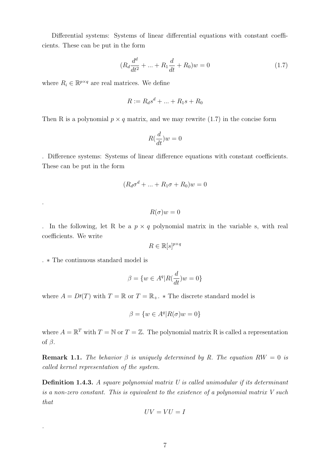Differential systems: Systems of linear differential equations with constant coefficients. These can be put in the form

$$
(R_d \frac{d^d}{dt^2} + \dots + R_1 \frac{d}{dt} + R_0)w = 0 \tag{1.7}
$$

where  $R_i \in \mathbb{R}^{p \times q}$  are real matrices. We define

$$
R := R_d s^d + \dots + R_1 s + R_0
$$

Then R is a polynomial  $p \times q$  matrix, and we may rewrite (1.7) in the concise form

$$
R(\frac{d}{dt})w = 0
$$

. Difference systems: Systems of linear difference equations with constant coefficients. These can be put in the form

$$
(R_d \sigma^d + \dots + R_1 \sigma + R_0)w = 0
$$

$$
R(\sigma)w=0
$$

. In the following, let R be a  $p \times q$  polynomial matrix in the variable s, with real coefficients. We write

$$
R \in \mathbb{R}[s]^{p \times q}
$$

. ∗ The continuous standard model is

.

.

$$
\beta = \{w \in A^q | R(\frac{d}{dt})w = 0\}
$$

where  $A = D(T)$  with  $T = \mathbb{R}$  or  $T = \mathbb{R}_+$ . \* The discrete standard model is

$$
\beta = \{ w \in A^q | R(\sigma)w = 0 \}
$$

where  $A = \mathbb{R}^T$  with  $T = \mathbb{N}$  or  $T = \mathbb{Z}$ . The polynomial matrix R is called a representation of  $\beta$ .

**Remark 1.1.** The behavior  $\beta$  is uniquely determined by R. The equation RW = 0 is called kernel representation of the system.

**Definition 1.4.3.** A square polynomial matrix  $U$  is called unimodular if its determinant is a non-zero constant. This is equivalent to the existence of a polynomial matrix V such that

$$
UV=VU=I
$$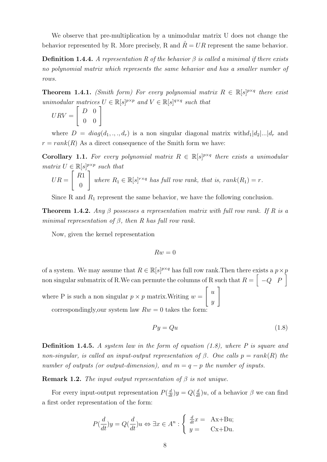We observe that pre-multiplication by a unimodular matrix U does not change the behavior represented by R. More precisely, R and  $\hat{R} = UR$  represent the same behavior.

**Definition 1.4.4.** A representation R of the behavior  $\beta$  is called a minimal if there exists no polynomial matrix which represents the same behavior and has a smaller number of rows.

**Theorem 1.4.1.** (Smith form) For every polynomial matrix  $R \in \mathbb{R}[s]^{p \times q}$  there exist unimodular matrices  $U \in \mathbb{R}[s]^{p \times p}$  and  $V \in \mathbb{R}[s]^{q \times q}$  such that

$$
URV = \left[ \begin{array}{cc} D & 0 \\ 0 & 0 \end{array} \right]
$$

where  $D = diag(d_1, ..., d_r)$  is a non singular diagonal matrix with  $d_1|d_2|...|d_r$  and  $r = rank(R)$  As a direct consequence of the Smith form we have:

**Corollary 1.1.** For every polynomial matrix  $R \in \mathbb{R}[s]^{p \times q}$  there exists a unimodular matrix  $U \in \mathbb{R}[s]^{p \times p}$  such that

$$
UR = \begin{bmatrix} R1 \\ 0 \end{bmatrix} where R_1 \in \mathbb{R}[s]^{r \times q} has full row rank, that is, rank(R_1) = r.
$$

Since R and  $R_1$  represent the same behavior, we have the following conclusion.

**Theorem 1.4.2.** Any  $\beta$  possesses a representation matrix with full row rank. If R is a minimal representation of  $\beta$ , then R has full row rank.

Now, given the kernel representation

$$
Rw=0
$$

of a system. We may assume that  $R \in \mathbb{R}[s]^{p \times q}$  has full row rank. Then there exists a  $p \times p$ non singular submatrix of R.We can permute the columns of R such that  $R = \begin{bmatrix} -Q & P \end{bmatrix}$ where P is such a non singular  $p \times p$  matrix. Writing  $w =$  $\lceil u \rceil$  $\hat{y}$ 1 correspondingly, our system law  $Rw = 0$  takes the form:

 $P y = Q u$  (1.8)

**Definition 1.4.5.** A system law in the form of equation  $(1.8)$ , where P is square and non-singular, is called an input-output representation of  $\beta$ . One calls  $p = rank(R)$  the number of outputs (or output-dimension), and  $m = q - p$  the number of inputs.

**Remark 1.2.** The input output representation of  $\beta$  is not unique.

For every input-output representation  $P(\frac{d}{dt})y = Q(\frac{d}{dt})u$ , of a behavior  $\beta$  we can find a first order representation of the form:

$$
P(\frac{d}{dt})y = Q(\frac{d}{dt})u \Leftrightarrow \exists x \in A^n : \begin{cases} \frac{d}{dt}x = & \text{Ax+Bu;} \\ y = & \text{Cx+Du.} \end{cases}
$$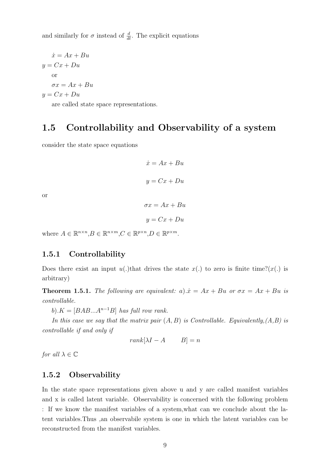and similarly for  $\sigma$  instead of  $\frac{d}{dt}$ . The explicit equations

$$
\dot{x} = Ax + Bu
$$
  

$$
y = Cx + Du
$$
  
or  

$$
\sigma x = Ax + Bu
$$
  

$$
y = Cx + Du
$$

are called state space representations.

## 1.5 Controllability and Observability of a system

consider the state space equations

$$
\dot{x} = Ax + Bu
$$

$$
y = Cx + Du
$$

or

$$
\sigma x = Ax + Bu
$$

$$
y = Cx + Du
$$

where  $A \in \mathbb{R}^{n \times n}, B \in \mathbb{R}^{n \times m}, C \in \mathbb{R}^{p \times n}, D \in \mathbb{R}^{p \times m}$ .

#### 1.5.1 Controllability

Does there exist an input  $u(.)$  that drives the state  $x(.)$  to zero is finite time?( $x(.)$  is arbitrary)

**Theorem 1.5.1.** The following are equivalent: a). $\dot{x} = Ax + Bu$  or  $\sigma x = Ax + Bu$  is controllable.

b). $K = [BAB...A^{n-1}B]$  has full row rank.

In this case we say that the matrix pair  $(A, B)$  is Controllable. Equivalently,  $(A, B)$  is controllable if and only if

$$
rank[\lambda I - A \qquad B] = n
$$

for all  $\lambda \in \mathbb{C}$ 

#### 1.5.2 Observability

In the state space representations given above u and y are called manifest variables and x is called latent variable. Observability is concerned with the following problem : If we know the manifest variables of a system,what can we conclude about the latent variables.Thus ,an observabile system is one in which the latent variables can be reconstructed from the manifest variables.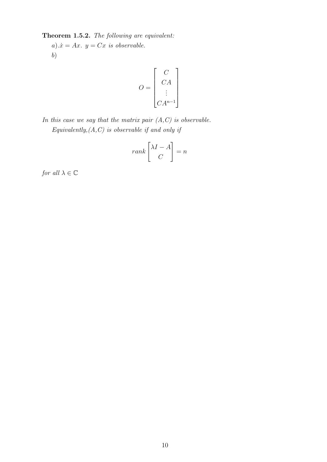Theorem 1.5.2. The following are equivalent:

a). $\dot{x} = Ax$ .  $y = Cx$  is observable. b)

$$
O = \begin{bmatrix} C \\ CA \\ \vdots \\ CA^{n-1} \end{bmatrix}
$$

In this case we say that the matrix pair  $(A, C)$  is observable. Equivalently,  $(A, C)$  is observable if and only if

$$
rank \begin{bmatrix} \lambda I - A \\ C \end{bmatrix} = n
$$

for all  $\lambda \in \mathbb{C}$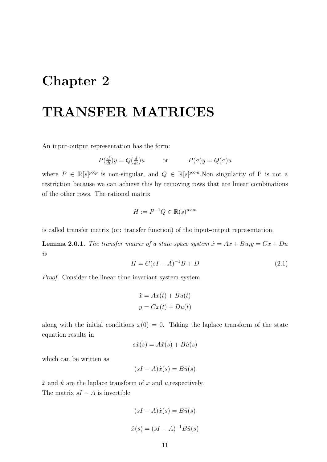## Chapter 2

# TRANSFER MATRICES

An input-output representation has the form:

$$
P(\frac{d}{dt})y = Q(\frac{d}{dt})u
$$
 or  $P(\sigma)y = Q(\sigma)u$ 

where  $P \in \mathbb{R}[s]^{p \times p}$  is non-singular, and  $Q \in \mathbb{R}[s]^{p \times m}$ . Non singularity of P is not a restriction because we can achieve this by removing rows that are linear combinations of the other rows. The rational matrix

$$
H := P^{-1}Q \in \mathbb{R}(s)^{p \times m}
$$

is called transfer matrix (or: transfer function) of the input-output representation.

**Lemma 2.0.1.** The transfer matrix of a state space system  $\dot{x} = Ax + Bu, y = Cx + Du$ is

$$
H = C(sI - A)^{-1}B + D
$$
\n(2.1)

Proof. Consider the linear time invariant system system

$$
\dot{x} = Ax(t) + Bu(t)
$$

$$
y = Cx(t) + Du(t)
$$

along with the initial conditions  $x(0) = 0$ . Taking the laplace transform of the state equation results in

$$
s\hat{x}(s) = A\hat{x}(s) + B\hat{u}(s)
$$

which can be written as

$$
(sI - A)\hat{x}(s) = B\hat{u}(s)
$$

 $\hat{x}$  and  $\hat{u}$  are the laplace transform of x and u, respectively. The matrix  $sI - A$  is invertible

$$
(sI - A)\hat{x}(s) = B\hat{u}(s)
$$

$$
\hat{x}(s) = (sI - A)^{-1}B\hat{u}(s)
$$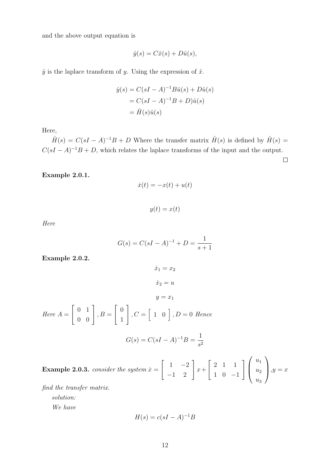and the above output equation is

$$
\hat{y}(s) = C\hat{x}(s) + D\hat{u}(s),
$$

 $\hat{y}$  is the laplace transform of y. Using the expression of  $\hat{x}$ .

$$
\hat{y}(s) = C(sI - A)^{-1}B\hat{u}(s) + D\hat{u}(s)
$$

$$
= C(sI - A)^{-1}B + D\hat{u}(s)
$$

$$
= \hat{H}(s)\hat{u}(s)
$$

Here,

 $\hat{H}(s) = C(sI - A)^{-1}B + D$  Where the transfer matrix  $\hat{H}(s)$  is defined by  $\hat{H}(s) =$  $C(sI - A)^{-1}B + D$ , which relates the laplace transforms of the input and the output.

 $\Box$ 

Example 2.0.1.

$$
\dot{x}(t) = -x(t) + u(t)
$$

 $y(t) = x(t)$ 

Here

$$
G(s) = C(sI - A)^{-1} + D = \frac{1}{s+1}
$$

Example 2.0.2.

$$
\dot{x}_1 = x_2
$$
  
\n
$$
\dot{x}_2 = u
$$
  
\n
$$
y = x_1
$$
  
\nHere  $A = \begin{bmatrix} 0 & 1 \\ 0 & 0 \end{bmatrix}$ ,  $B = \begin{bmatrix} 0 \\ 1 \end{bmatrix}$ ,  $C = \begin{bmatrix} 1 & 0 \end{bmatrix}$ ,  $D = 0$  Hence  
\n
$$
G(s) = C(sI - A)^{-1}B = \frac{1}{s^2}
$$

**Example 2.0.3.** consider the system  $\dot{x} =$  $\begin{bmatrix} 1 & -2 \\ -1 & 2 \end{bmatrix}$  $x+$  $\begin{bmatrix} 2 & 1 & 1 \end{bmatrix}$ 1 0 −1  $\frac{1}{2}$  $\left\{ \right.$  $u_1$  $u_2$  $u_3$  $\setminus$  $, y = x$ 

find the transfer matrix. solution: We have

 $H(s) = c(sI - A)^{-1}B$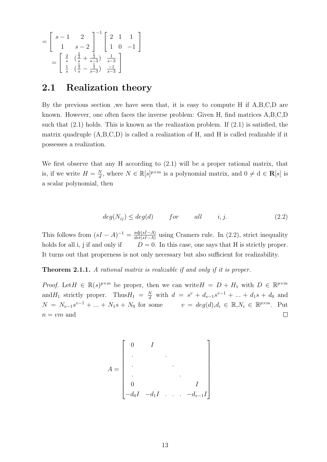$$
= \begin{bmatrix} s-1 & 2 \\ 1 & s-2 \end{bmatrix}^{-1} \begin{bmatrix} 2 & 1 & 1 \\ 1 & 0 & -1 \end{bmatrix}
$$

$$
= \begin{bmatrix} \frac{2}{s} & (\frac{3}{s} + \frac{1}{s-3}) & \frac{1}{s-3} \\ \frac{1}{s} & (\frac{1}{s} - \frac{1}{s-3}) & \frac{-1}{s-3} \end{bmatrix}
$$

### 2.1 Realization theory

By the previous section ,we have seen that, it is easy to compute H if A,B,C,D are known. However, one often faces the inverse problem: Given H, find matrices A,B,C,D such that (2.1) holds. This is known as the realization problem. If (2.1) is satisfied, the matrix quadruple (A,B,C,D) is called a realization of H, and H is called realizable if it possesses a realization.

We first observe that any H according to (2.1) will be a proper rational matrix, that is, if we write  $H = \frac{N}{d}$  $\frac{N}{d}$ , where  $N \in \mathbb{R}[s]^{p \times m}$  is a polynomial matrix, and  $0 \neq d \in \mathbb{R}[s]$  is a scalar polynomial, then

$$
deg(N_{ij}) \le deg(d) \qquad for \qquad all \qquad i, j. \tag{2.2}
$$

This follows from  $(sI - A)^{-1} = \frac{adj(sI - A)}{det(sI - A)}$  $\frac{a_{q}(s_{I}-A)}{det(s_{I}-A)}$  using Cramers rule. In (2.2), strict inequality holds for all i, j if and only if  $D = 0$ . In this case, one says that H is strictly proper. It turns out that properness is not only necessary but also sufficient for realizability.

**Theorem 2.1.1.** A rational matrix is realizable if and only if it is proper.

*Proof.* Let  $H \in \mathbb{R}(s)^{p \times m}$  be proper, then we can write  $H = D + H_1$  with  $D \in \mathbb{R}^{p \times m}$ and  $H_1$  strictly proper. Thus  $H_1 = \frac{N}{d}$  with  $d = s^v + d_{v-1}s^{v-1} + ... + d_1s + d_0$  and  $N = N_{v-1}s^{v-1} + ... + N_1s + N_0$  for some  $v = deg(d), d_i \in \mathbb{R}, N_i \in \mathbb{R}^{p \times m}$ . Put  $n=\upsilon m$  and  $\Box$ 

$$
A = \begin{bmatrix} 0 & I & & & \\ . & & & & \\ . & & & & \\ . & & & & \\ . & & & & \\ 0 & & & & I \\ -d_0I & -d_1I & . & . & -d_{v-1}I \end{bmatrix}
$$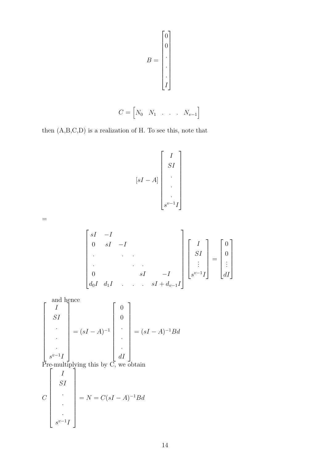$$
B = \begin{bmatrix} 0 \\ 0 \\ \vdots \\ 0 \\ \vdots \\ 1 \end{bmatrix}
$$

$$
C = \begin{bmatrix} N_0 & N_1 & \dots & N_{v-1} \end{bmatrix}
$$

then (A,B,C,D) is a realization of H. To see this, note that

$$
[sI - A] \begin{bmatrix} I \\ SI \\ . \\ . \\ . \\ s^{v-1}I \end{bmatrix}
$$

$$
\begin{bmatrix}\nsI & -I & & & & \\
0 & sI & -I & & & \\
\cdot & \cdot & \cdot & \cdot & \cdot \\
0 & \cdot & \cdot & \cdot & \cdot \\
d_0I & d_1I & \cdot & \cdot & \cdot & sI + d_{v-1}I\n\end{bmatrix}\n\begin{bmatrix}\nI \\
SI \\
\vdots \\
s^{v-1}I\n\end{bmatrix} = \begin{bmatrix}\n0 \\
0 \\
\vdots \\
dI\n\end{bmatrix}
$$

 $\sqrt{ }$ and hence I SI . . .  $s^{v-1}I$ 1  $= (sI - A)^{-1}$  $\sqrt{ }$  0 0 . . . dI 1  $=(sI - A)^{-1}Bd$ Pre-multiplying this by  $\overrightarrow{C}$ , we obtain  $\mathcal{C}_{0}^{(n)}$  $\sqrt{ }$  I SI . . .  $s^{v-1}$ <sub>I</sub> 1  $= N = C(sI - A)^{-1}Bd$ 

=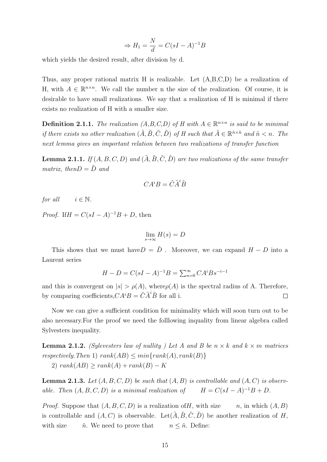$$
\Rightarrow H_1 = \frac{N}{d} = C(sI - A)^{-1}B
$$

which yields the desired result, after division by d.

Thus, any proper rational matrix H is realizable. Let (A,B,C,D) be a realization of H, with  $A \in \mathbb{R}^{n \times n}$ . We call the number n the size of the realization. Of course, it is desirable to have small realizations. We say that a realization of H is minimal if there exists no realization of H with a smaller size.

**Definition 2.1.1.** The realization  $(A, B, C, D)$  of H with  $A \in \mathbb{R}^{n \times n}$  is said to be minimal if there exists no other realization  $(\tilde{A}, \tilde{B}, \tilde{C}, \tilde{D})$  of H such that  $\tilde{A} \in \mathbb{R}^{\tilde{n} \times \tilde{n}}$  and  $\tilde{n} < n$ . The next lemma gives an important relation between two realizations of transfer function

**Lemma 2.1.1.** If  $(A, B, C, D)$  and  $(\tilde{A}, \tilde{B}, \tilde{C}, \tilde{D})$  are two realizations of the same transfer matrix, then  $D = \tilde{D}$  and

$$
CA^iB=\tilde{C}\tilde{A}^i\tilde{B}
$$

for all  $i \in \mathbb{N}$ .

*Proof.* If  $H = C(sI - A)^{-1}B + D$ , then

$$
\lim_{s \to \infty} H(s) = D
$$

This shows that we must have  $D = \tilde{D}$ . Moreover, we can expand  $H - D$  into a Laurent series

$$
H - D = C(sI - A)^{-1}B = \sum_{n=0}^{\infty} CA^{i}Bs^{-i-1}
$$

and this is convergent on  $|s| > \rho(A)$ , where  $\rho(A)$  is the spectral radius of A. Therefore, by comparing coefficients,  $CA^{i}B = \tilde{C} \tilde{A}^{i} \tilde{B}$  for all i.  $\Box$ 

Now we can give a sufficient condition for minimality which will soon turn out to be also necessary.For the proof we need the folllowing inquality from linear algebra called Sylvesters inequality.

**Lemma 2.1.2.** (Sylevesters law of nullity) Let A and B be  $n \times k$  and  $k \times m$  matrices respectively. Then 1)  $rank(AB) \leq min\{rank(A), rank(B)\}$ 2)  $rank(AB) \geq rank(A) + rank(B) - K$ 

**Lemma 2.1.3.** Let  $(A, B, C, D)$  be such that  $(A, B)$  is controllable and  $(A, C)$  is observable. Then  $(A, B, C, D)$  is a minimal realization of  $H = C(sI - A)^{-1}B + D$ .

*Proof.* Suppose that  $(A, B, C, D)$  is a realization of H, with size n, in which  $(A, B)$ is controllable and  $(A, C)$  is observable. Let  $(\tilde{A}, \tilde{B}, \tilde{C}, \tilde{D})$  be another realization of H, with size  $\tilde{n}$ . We need to prove that  $n \leq \tilde{n}$ . Define: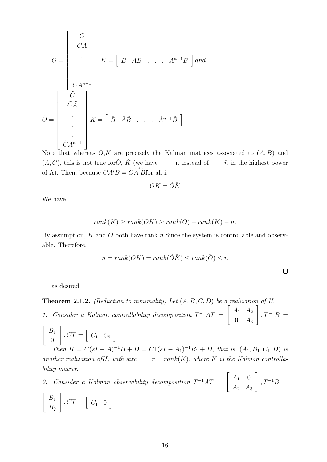$$
O = \begin{bmatrix} C \\ CA \\ \vdots \\ CA^{n-1} \end{bmatrix} K = \begin{bmatrix} B & AB & \dots & A^{n-1}B \end{bmatrix} and
$$

$$
\tilde{O} = \begin{bmatrix} \tilde{C} \\ \tilde{C}\tilde{A} \\ \vdots \\ \tilde{C}\tilde{A}^{n-1} \end{bmatrix} \tilde{K} = \begin{bmatrix} \tilde{B} & \tilde{A}\tilde{B} & \dots & \tilde{A}^{n-1}\tilde{B} \end{bmatrix}
$$

Note that whereas  $O, K$  are precisely the Kalman matrices associated to  $(A, B)$  and  $(A, C)$ , this is not true for  $\tilde{O}$ ,  $\tilde{K}$  (we have n instead of  $\tilde{n}$  in the highest power of A). Then, because  $CA^{i}B = \tilde{C}\tilde{A}^{i}\tilde{B}$  for all i,

$$
OK = \tilde{O}\tilde{K}
$$

We have

$$
rank(K) \ge rank(OK) \ge rank(O) + rank(K) - n.
$$

By assumption,  $K$  and  $O$  both have rank n. Since the system is controllable and observable. Therefore,

$$
n = rank(OK) = rank(\tilde{O}\tilde{K}) \le rank(\tilde{O}) \le \tilde{n}
$$

as desired.

**Theorem 2.1.2.** (Reduction to minimality) Let  $(A, B, C, D)$  be a realization of H.

1. Consider a Kalman controllability decomposition  $T^{-1}AT =$  $\begin{bmatrix} A_1 & A_2 \end{bmatrix}$  $0 \quad A_3$ 1  $, T^{-1}B =$ 

$$
\begin{bmatrix} B_1 \\ 0 \end{bmatrix}, CT = \begin{bmatrix} C_1 & C_2 \end{bmatrix}
$$
  
Then  $H = C(sI - A)^{-1}$ 

Then  $H = C(sI - A)^{-1}B + D = C1(sI - A_1)^{-1}B_1 + D$ , that is,  $(A_1, B_1, C_1, D)$  is another realization of H, with size  $r = rank(K)$ , where K is the Kalman controllability matrix.

2. Consider a Kalman observability decomposition  $T^{-1}AT =$  $\begin{bmatrix} A_1 & 0 \end{bmatrix}$  $A_2$   $A_3$ 1  $, T^{-1}B =$  $\left[ \begin{array}{c} B_1 \end{array} \right]$  $B<sub>2</sub>$ 1  $, CT = \begin{bmatrix} C_1 & 0 \end{bmatrix}$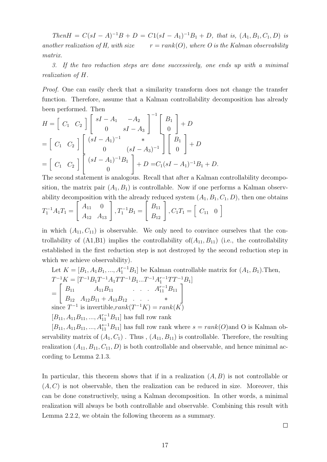$Then H = C(sI - A)^{-1}B + D = C1(sI - A_1)^{-1}B_1 + D$ , that is,  $(A_1, B_1, C_1, D)$  is another realization of H, with size  $r = rank(O)$ , where O is the Kalman observability matrix.

3. If the two reduction steps are done successively, one ends up with a minimal realization of H.

Proof. One can easily check that a similarity transform does not change the transfer function. Therefore, assume that a Kalman controllability decomposition has already been performed. Then  $-1$   $-$ 

$$
H = \begin{bmatrix} C_1 & C_2 \end{bmatrix} \begin{bmatrix} sI - A_1 & -A_2 \ 0 & sI - A_3 \end{bmatrix}^{-1} \begin{bmatrix} B_1 \ 0 \end{bmatrix} + D
$$
  
=  $\begin{bmatrix} C_1 & C_2 \end{bmatrix} \begin{bmatrix} (sI - A_1)^{-1} & * \\ 0 & (sI - A_3)^{-1} \end{bmatrix} \begin{bmatrix} B_1 \ 0 \end{bmatrix} + D$   
=  $\begin{bmatrix} C_1 & C_2 \end{bmatrix} \begin{bmatrix} (sI - A_1)^{-1}B_1 \ 0 \end{bmatrix} + D = C_1(sI - A_1)^{-1}B_1 + D.$ 

The second statement is analogous. Recall that after a Kalman controllability decomposition, the matrix pair  $(A_1, B_1)$  is controllable. Now if one performs a Kalman observability decomposition with the already reduced system  $(A_1, B_1, C_1, D)$ , then one obtains

$$
T_1^{-1}A_1T_1 = \begin{bmatrix} A_{11} & 0 \\ A_{12} & A_{13} \end{bmatrix}, T_1^{-1}B_1 = \begin{bmatrix} B_{11} \\ B_{12} \end{bmatrix}, C_1T_1 = \begin{bmatrix} C_{11} & 0 \end{bmatrix}
$$

in which  $(A_{11}, C_{11})$  is observable. We only need to convince ourselves that the controllability of  $(A1,B1)$  implies the controllability of  $(A_{11},B_{11})$  (i.e., the controllability established in the first reduction step is not destroyed by the second reduction step in which we achieve observability).

Let 
$$
K = [B_1, A_1B_1, ..., A_1^{r-1}B_1]
$$
 be Kalman controllable matrix for  $(A_1, B_1)$ . Then,  
\n
$$
T^{-1}K = [T^{-1}B_1T^{-1}A_1TT^{-1}B_1...T^{-1}A_1^{r-1}TT^{-1}B_1]
$$
\n
$$
= \begin{bmatrix} B_{11} & A_{11}B_{11} & \cdots & A_{11}^{r-1}B_{11} \\ B_{12} & A_{12}B_{11} + A_{13}B_{12} & \cdots & * \\ B_{11} & \cdots & B_{1r-1} \end{bmatrix}
$$
\nsince  $T^{-1}$  is invertible, $rank(T^{-1}K) = rank(K)$   
\n $[B_{11}, A_{11}B_{11}, ..., A_{11}^{r-1}B_{11}]$  has full row rank

 $[B_{11}, A_{11}B_{11}, ..., A_{11}^{s-1}B_{11}]$  has full row rank where  $s = rank(O)$  and O is Kalman observability matrix of  $(A_1, C_1)$ . Thus,  $(A_{11}, B_{11})$  is controllable. Therefore, the resulting realization  $(A_{11}, B_{11}, C_{11}, D)$  is both controllable and observable, and hence minimal according to Lemma 2.1.3.

In particular, this theorem shows that if in a realization  $(A, B)$  is not controllable or  $(A, C)$  is not observable, then the realization can be reduced in size. Moreover, this can be done constructively, using a Kalman decomposition. In other words, a minimal realization will always be both controllable and observable. Combining this result with Lemma 2.2.2, we obtain the following theorem as a summary.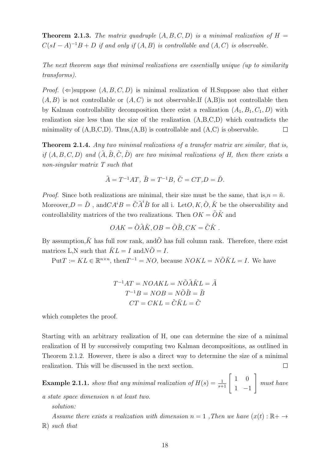**Theorem 2.1.3.** The matrix quadruple  $(A, B, C, D)$  is a minimal realization of  $H =$  $C(sI - A)^{-1}B + D$  if and only if  $(A, B)$  is controllable and  $(A, C)$  is observable.

The next theorem says that minimal realizations are essentially unique (up to similarity transforms).

*Proof.* ( $\Leftarrow$ )suppose  $(A, B, C, D)$  is minimal realization of H.Suppose also that either  $(A, B)$  is not controllable or  $(A, C)$  is not observable. If  $(A, B)$  is not controllable then by Kalman controllability decomposition there exist a realization  $(A_1, B_1, C_1, D)$  with realization size less than the size of the realization (A,B,C,D) which contradicts the minimality of  $(A, B, C, D)$ . Thus,  $(A, B)$  is controllable and  $(A, C)$  is observable.  $\Box$ 

Theorem 2.1.4. Any two minimal realizations of a transfer matrix are similar, that is, if  $(A, B, C, D)$  and  $(\tilde{A}, \tilde{B}, \tilde{C}, \tilde{D})$  are two minimal realizations of H, then there exists a non-singular matrix T such that

$$
\tilde{A} = T^{-1}AT, \ \tilde{B} = T^{-1}B, \ \tilde{C} = CT, D = \tilde{D}.
$$

*Proof.* Since both realizations are minimal, their size must be the same, that is,  $n = \tilde{n}$ . Moreover,  $D = \tilde{D}$ , and  $CA^iB = \tilde{C}\tilde{A}^i\tilde{B}$  for all i. Let  $O, K, \tilde{O}, \tilde{K}$  be the observability and controllability matrices of the two realizations. Then  $OK = \tilde{O}\tilde{K}$  and

$$
OAK = \tilde{O}\tilde{A}\tilde{K}, OB = \tilde{O}\tilde{B}, CK = \tilde{C}\tilde{K}.
$$

By assumption,  $\tilde{K}$  has full row rank, and  $\tilde{O}$  has full column rank. Therefore, there exist matrices L,N such that  $\tilde{K}L = I$  and  $N\tilde{O} = I$ .

 $Put T := KL \in \mathbb{R}^{n \times n}$ , then  $T^{-1} = NO$ , because  $NOKL = N\tilde{O}\tilde{K}L = I$ . We have

$$
T^{-1}AT = NOAKL = N\tilde{O}\tilde{A}\tilde{K}L = \tilde{A}
$$

$$
T^{-1}B = NOB = N\tilde{O}\tilde{B} = \tilde{B}
$$

$$
CT = CKL = \tilde{C}\tilde{K}L = \tilde{C}
$$

which completes the proof.

Starting with an arbitrary realization of H, one can determine the size of a minimal realization of H by successively computing two Kalman decompositions, as outlined in Theorem 2.1.2. However, there is also a direct way to determine the size of a minimal realization. This will be discussed in the next section.  $\Box$ 

**Example 2.1.1.** show that any minimal realization of  $H(s) = \frac{1}{s+1} \begin{bmatrix} 1 & 0 \\ 1 & 1 \end{bmatrix}$ 1 −1 1 must have

a state space dimension n at least two.

solution:

Assume there exists a realization with dimension  $n = 1$ , Then we have  $(x(t) : \mathbb{R} \to \mathbb{R})$  $\mathbb{R}$ ) such that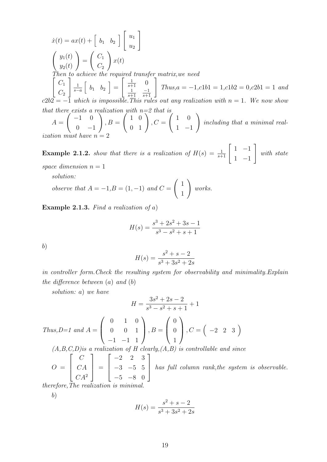$\dot{x}(t) = ax(t) + \begin{bmatrix} b_1 & b_2 \end{bmatrix} \begin{bmatrix} u_1 \\ u_2 \end{bmatrix}$  $u_2$ 1  $\int y_1(t)$  $y_2(t)$  $\setminus$ =  $\int C_1$  $C_2$  $\setminus$  $x(t)$ Then to achieve the required transfer matrix, we need  $\left[ C_1 \right]$  $C_2$  $\big]_{\_1}$  $\frac{1}{s-a} \left[ \begin{array}{cc} b_1 & b_2 \end{array} \right] =$  $\left[\begin{array}{cc} \frac{1}{s+1} & 0 \end{array}\right]$ 1 s+1 −1  $\begin{bmatrix} 0 \\ \frac{-1}{s+1} \end{bmatrix}$  $Thus, a = -1, c1b1 = 1, c1b2 = 0, c2b1 = 1$  and  $c2b2 = -1$  which is impossible. This rules out any realization with  $n = 1$ . We now show that there exists a realization with  $n=2$  that is  $A =$  $\bigg( -1 \ 0$  $0 -1$  $\setminus$  $, B =$  $\left(\begin{array}{cc} 1 & 0 \\ 0 & 1 \end{array}\right)$  $, C =$  $\begin{pmatrix} 1 & 0 \end{pmatrix}$ 1 −1  $\setminus$ including that a minimal real-

ization must have  $n =$ 

**Example 2.1.2.** show that there is a realization of  $H(s) = \frac{1}{s+1} \begin{bmatrix} 1 & -1 \\ 1 & 1 \end{bmatrix}$ 1 −1 1 with state space dimension  $n = 1$ 

solution:

$$
observe that A = -1, B = (1, -1) and C = \begin{pmatrix} 1 \\ 1 \end{pmatrix} works.
$$

**Example 2.1.3.** Find a realization of a)

$$
H(s) = \frac{s^3 + 2s^2 + 3s - 1}{s^3 - s^2 + s + 1}
$$

b)

$$
H(s) = \frac{s^2 + s - 2}{s^3 + 3s^2 + 2s}
$$

in controller form.Check the resulting system for observability and minimality.Explain the difference between  $(a)$  and  $(b)$ 

solution: a) we have

$$
H = \frac{3s^2 + 2s - 2}{s^3 - s^2 + s + 1} + 1
$$

Thus, 
$$
D=1
$$
 and  $A = \begin{pmatrix} 0 & 1 & 0 \\ 0 & 0 & 1 \\ -1 & -1 & 1 \end{pmatrix}$ ,  $B = \begin{pmatrix} 0 \\ 0 \\ 1 \end{pmatrix}$ ,  $C = \begin{pmatrix} -2 & 2 & 3 \end{pmatrix}$   
(A, B, C, D) is a realization of H clearly, (A, B) is controllable and since

 $O =$  $\sqrt{ }$  $\Bigg)$  $\mathcal{C}_{0}^{(n)}$  $CA$  $CA^2$ 1  $\Bigg| =$  $\sqrt{ }$  $\begin{matrix} \phantom{-} \end{matrix}$  $-2$  2 3 −3 −5 5  $-5$   $-8$  0 1 has full column rank,the system is observable. therefore. The realization is minimal.

b)

$$
H(s) = \frac{s^2 + s - 2}{s^3 + 3s^2 + 2s}
$$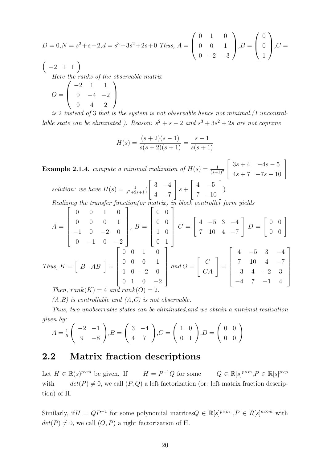$$
D = 0, N = s^2 + s - 2, d = s^3 + 3s^2 + 2s + 0
$$
 Thus,  $A = \begin{pmatrix} 0 & 1 & 0 \\ 0 & 0 & 1 \\ 0 & -2 & -3 \end{pmatrix}, B = \begin{pmatrix} 0 \\ 0 \\ 1 \end{pmatrix}, C =$ 

 $\begin{pmatrix} -2 & 1 & 1 \end{pmatrix}$ Here the ranks of the observable matrix  $O =$  $\sqrt{ }$  $\left\lfloor \right\rfloor$  $-2$  1 1  $0 -4 -2$ 0 4 2  $\setminus$  $\Big\}$ 

is 2 instead of 3 that is the system is not observable hence not minimal.(1 uncontrollable state can be eliminated ). Reason:  $s^2 + s - 2$  and  $s^3 + 3s^2 + 2s$  are not coprime

$$
H(s) = \frac{(s+2)(s-1)}{s(s+2)(s+1)} = \frac{s-1}{s(s+1)}
$$

**Example 2.1.4.** compute a minimal realization of  $H(s) = \frac{1}{(s+1)^2}$  $\begin{bmatrix} 3s + 4 & -4s - 5 \\ 4s + 7 & -7s - 10 \end{bmatrix}$ solution: we have  $H(s) = \frac{1}{s^2+2s+1}$  $\begin{bmatrix} 3 & -4 \end{bmatrix}$  $4 -7$ 1  $s +$  $\left[\begin{array}{cc} 4 & -5 \\ 7 & -10 \end{array}\right]$ ) Realizing the transfer function(or matrix) in block controller form yields  $A =$  $\sqrt{ }$  0 0 1 0 0 0 0 1 −1 0 −2 0  $0 \t -1 \t 0 \t -2$ 1  $\begin{array}{c} \begin{array}{c} \begin{array}{c} \end{array} \\ \begin{array}{c} \end{array} \end{array} \end{array}$  $, B =$  $\sqrt{ }$  0 0 0 0 1 0 0 1 1  $\begin{array}{c} \begin{array}{c} \begin{array}{c} \end{array} \\ \begin{array}{c} \end{array} \end{array} \end{array}$  $C =$  $\begin{bmatrix} 4 & -5 & 3 & -4 \end{bmatrix}$ 7 10 4 −7 1  $D =$  $\left[\begin{array}{cc} 0 & 0 \\ 0 & 0 \end{array}\right]$ Thus,  $K = \begin{bmatrix} B & AB \end{bmatrix} =$  $\begin{bmatrix} 0 & 0 & 1 & 0 \end{bmatrix}$  $\begin{array}{c} \begin{array}{c} \begin{array}{c} \end{array} \\ \begin{array}{c} \end{array} \end{array} \end{array}$ 0 0 1 0 0 0 0 1 1 0  $-2$  0  $0 \quad 1 \quad 0 \quad -2$  $\begin{array}{c} \begin{array}{c} \begin{array}{c} \end{array} \\ \begin{array}{c} \end{array} \end{array} \end{array}$  $and O =$  $\left[\begin{array}{c} C \\ CA \end{array}\right]$ =  $\begin{array}{c} \begin{array}{c} \begin{array}{c} \end{array} \end{array} \end{array}$ 4 −5 3 −4 7 10 4 −7  $-3$  4  $-2$  3  $-4$  7  $-1$  4 1  $\begin{array}{c} \begin{array}{c} \begin{array}{c} \end{array} \\ \begin{array}{c} \end{array} \end{array} \end{array}$ Then,  $rank(K) = 4$  and  $rank(O)$ :

 $(A,B)$  is controllable and  $(A,C)$  is not observable.

Thus, two unobservable states can be eliminated,and we obtain a minimal realization given by:

$$
A = \frac{1}{5} \begin{pmatrix} -2 & -1 \\ 9 & -8 \end{pmatrix}, B = \begin{pmatrix} 3 & -4 \\ 4 & 7 \end{pmatrix}, C = \begin{pmatrix} 1 & 0 \\ 0 & 1 \end{pmatrix}, D = \begin{pmatrix} 0 & 0 \\ 0 & 0 \end{pmatrix}
$$

### 2.2 Matrix fraction descriptions

Let  $H \in \mathbb{R}(s)^{p \times m}$  be given. If  $H = P$ <sup>-1</sup>Q for some  $Q \in \mathbb{R}[s]^{p \times m}, P \in \mathbb{R}[s]^{p \times p}$ with  $det(P) \neq 0$ , we call  $(P, Q)$  a left factorization (or: left matrix fraction description) of H.

Similarly, if  $H = QP^{-1}$  for some polynomial matrices  $Q \in \mathbb{R}[s]^{p \times m}, P \in R[s]^{m \times m}$  with  $det(P) \neq 0$ , we call  $(Q, P)$  a right factorization of H.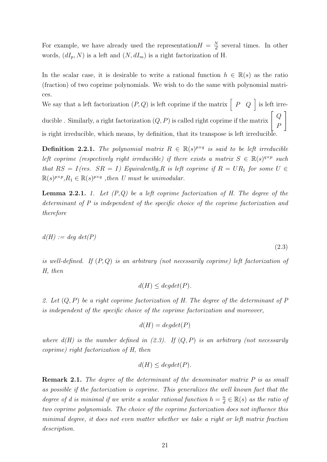For example, we have already used the representation  $H = \frac{N}{d}$  $\frac{N}{d}$  several times. In other words,  $(dI_p, N)$  is a left and  $(N, dI_m)$  is a right factorization of H.

In the scalar case, it is desirable to write a rational function  $h \in \mathbb{R}(s)$  as the ratio (fraction) of two coprime polynomials. We wish to do the same with polynomial matrices.

We say that a left factorization  $(P,Q)$  is left coprime if the matrix  $\begin{bmatrix} P & Q \end{bmatrix}$  is left irreducible . Similarly, a right factorization  $(Q, P)$  is called right coprime if the matrix  $\left[ \begin{array}{c} Q \end{array} \right]$ P 1 is right irreducible, which means, by definition, that its transpose is left irreducible.

**Definition 2.2.1.** The polynomial matrix  $R \in \mathbb{R}(s)^{p \times q}$  is said to be left irreducible left coprime (respectively right irreducible) if there exists a matrix  $S \in \mathbb{R}(s)^{q \times p}$  such that  $RS = I(res. SR = I)$  Equivalently, R is left coprime if  $R = UR_1$  for some  $U \in$  $\mathbb{R}(s)^{p \times p}, R_1 \in \mathbb{R}(s)^{p \times q}$ , then U must be unimodular.

**Lemma 2.2.1.** 1. Let  $(P,Q)$  be a left coprime factorization of H. The degree of the determinant of P is independent of the specific choice of the coprime factorization and therefore

$$
d(H) := deg \, det(P)
$$

(2.3)

is well-defined. If  $(P,Q)$  is an arbitrary (not necessarily coprime) left factorization of H, then

$$
d(H) \le degdet(P).
$$

2. Let  $(Q, P)$  be a right coprime factorization of H. The degree of the determinant of P is independent of the specific choice of the coprime factorization and moreover,

$$
d(H) = degdet(P)
$$

where  $d(H)$  is the number defined in (2.3). If  $(Q, P)$  is an arbitrary (not necessarily coprime) right factorization of H, then

$$
d(H) \leq degdet(P).
$$

**Remark 2.1.** The degree of the determinant of the denominator matrix P is as small as possible if the factorization is coprime. This generalizes the well known fact that the degree of d is minimal if we write a scalar rational function  $h = \frac{n}{d}$  $\frac{n}{d} \in \mathbb{R}(s)$  as the ratio of two coprime polynomials. The choice of the coprime factorization does not influence this minimal degree, it does not even matter whether we take a right or left matrix fraction description.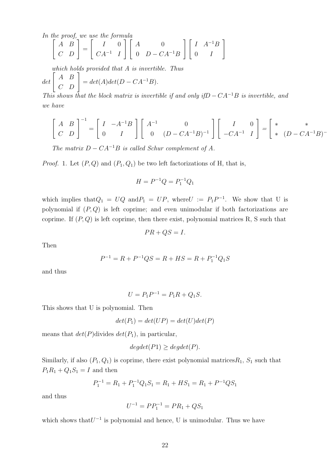In the proof, we use the formula

$$
\begin{bmatrix} A & B \\ C & D \end{bmatrix} = \begin{bmatrix} I & 0 \\ CA^{-1} & I \end{bmatrix} \begin{bmatrix} A & 0 \\ 0 & D - CA^{-1}B \end{bmatrix} \begin{bmatrix} I & A^{-1}B \\ 0 & I \end{bmatrix}
$$

which holds provided that A is invertible. Thus

$$
det\left[\begin{array}{cc} A & B \\ C & D \end{array}\right] = det(A)det(D - CA^{-1}B).
$$

This shows that the block matrix is invertible if and only if  $D - CA^{-1}B$  is invertible, and we have

$$
\begin{bmatrix} A & B \\ C & D \end{bmatrix}^{-1} = \begin{bmatrix} I & -A^{-1}B \\ 0 & I \end{bmatrix} \begin{bmatrix} A^{-1} & 0 \\ 0 & (D - CA^{-1}B)^{-1} \end{bmatrix} \begin{bmatrix} I & 0 \\ -CA^{-1} & I \end{bmatrix} = \begin{bmatrix} * & * \\ * & (D - CA^{-1}B)^{-1} \end{bmatrix}
$$

The matrix  $D - CA^{-1}B$  is called Schur complement of A.

*Proof.* 1. Let  $(P, Q)$  and  $(P_1, Q_1)$  be two left factorizations of H, that is,

$$
H = P^{-1}Q = P_1^{-1}Q_1
$$

which implies that  $Q_1 = UQ$  and  $P_1 = UP$ , where  $U := P_1P^{-1}$ . We show that U is polynomial if  $(P, Q)$  is left coprime; and even unimodular if both factorizations are coprime. If  $(P,Q)$  is left coprime, then there exist, polynomial matrices R, S such that

 $PR + QS = I.$ 

Then

$$
P^{-1} = R + P^{-1}QS = R + HS = R + P_1^{-1}Q_1S
$$

and thus

$$
U = P_1 P^{-1} = P_1 R + Q_1 S.
$$

This shows that U is polynomial. Then

$$
det(P_1) = det(UP) = det(U)det(P)
$$

means that  $det(P)$ divides  $det(P_1)$ , in particular,

$$
degdet(P1) \ge degdet(P).
$$

Similarly, if also  $(P_1, Q_1)$  is coprime, there exist polynomial matrices  $R_1$ ,  $S_1$  such that  $P_1R_1 + Q_1S_1 = I$  and then

$$
P_1^{-1} = R_1 + P_1^{-1}Q_1S_1 = R_1 + HS_1 = R_1 + P^{-1}QS_1
$$

and thus

$$
U^{-1} = PP_1^{-1} = PR_1 + QS_1
$$

which shows that  $U^{-1}$  is polynomial and hence, U is unimodular. Thus we have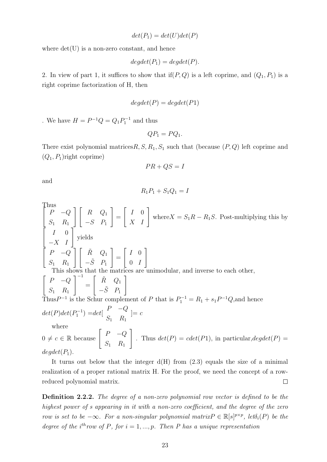$$
det(P_1) = det(U)det(P)
$$

where  $det(U)$  is a non-zero constant, and hence

$$
degdet(P_1) = degdet(P).
$$

2. In view of part 1, it suffices to show that if  $(P, Q)$  is a left coprime, and  $(Q_1, P_1)$  is a right coprime factorization of H, then

$$
degdet(P) = degdet(P1)
$$

. We have  $H = P^{-1}Q = Q_1 P_1^{-1}$  and thus

$$
QP_1 = PQ_1.
$$

There exist polynomial matrices  $R, S, R_1, S_1$  such that (because  $(P, Q)$  left coprime and  $(Q_1, P_1)$ right coprime)

$$
PR + QS = I
$$

and

$$
R_1P_1 + S_1Q_1 = I
$$

Thus

$$
\begin{bmatrix}\nP & -Q \\
S_1 & R_1\n\end{bmatrix}\n\begin{bmatrix}\nR & Q_1 \\
-S & P_1\n\end{bmatrix} =\n\begin{bmatrix}\nI & 0 \\
X & I\n\end{bmatrix}
$$
\nwhere  $X = S_1R - R_1S$ . Post-multiplying this by  
\n
$$
\begin{bmatrix}\nI & 0 \\
I & 0 \\
S_1 & R_1\n\end{bmatrix}
$$
\nyields  
\n
$$
\begin{bmatrix}\nP & -Q \\
S_1 & R_1\n\end{bmatrix}\n\begin{bmatrix}\n\tilde{R} & Q_1 \\
-\tilde{S} & P_1\n\end{bmatrix} =\n\begin{bmatrix}\nI & 0 \\
0 & I\n\end{bmatrix}
$$
\nThis shows that the matrices are unimodular, and inverse to each other,  
\n
$$
\begin{bmatrix}\nP & -Q \\
S_1 & R_1\n\end{bmatrix}^{-1} =\n\begin{bmatrix}\n\tilde{R} & Q_1 \\
-\tilde{S} & P_1\n\end{bmatrix}
$$
\nThus  $P^{-1}$  is the Schur complement of  $P$  that is  $P_1^{-1} = R_1 + s_1 P^{-1}Q$ , and hence  
\n
$$
det(P) det(P_1^{-1}) = det \begin{bmatrix}\nP & -Q \\
S_1 & R_1\n\end{bmatrix} = c
$$
\nwhere  
\n $0 \neq c \in \mathbb{R}$  because 
$$
\begin{bmatrix}\nP & -Q \\
S_1 & R_1\n\end{bmatrix}
$$
. Thus  $det(P) = cdet(P1)$ , in particular,  $degdet(P) =$ 

 $deqdet(P_1)$ .

It turns out below that the integer  $d(H)$  from  $(2.3)$  equals the size of a minimal realization of a proper rational matrix H. For the proof, we need the concept of a rowreduced polynomial matrix.  $\Box$ 

Definition 2.2.2. The degree of a non-zero polynomial row vector is defined to be the highest power of s appearing in it with a non-zero coefficient, and the degree of the zero row is set to be  $-\infty$ . For a non-singular polynomial matrix  $P \in \mathbb{R}[s]^{p \times p}$ , let $\delta_i(P)$  be the degree of the i<sup>th</sup>row of P, for  $i = 1, ..., p$ . Then P has a unique representation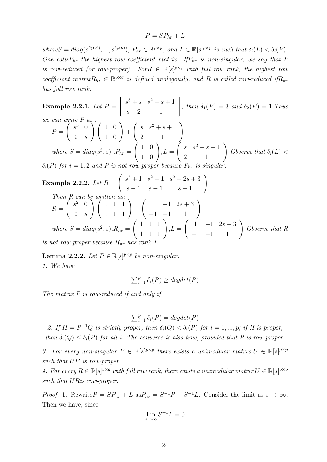$$
P = SP_{hr} + L
$$

where  $S = diag(s^{\delta_1(P)}, ..., s^{\delta_p(p)})$ ,  $P_{hr} \in \mathbb{R}^{p \times p}$ , and  $L \in \mathbb{R}[s]^{p \times p}$  is such that  $\delta_i(L) < \delta_i(P)$ . One calls  $P_{hr}$  the highest row coefficient matrix. If  $P_{hr}$  is non-singular, we say that P is row-reduced (or row-proper). For  $R \in \mathbb{R}[s]^{p \times q}$  with full row rank, the highest row coefficient matrix $R_{hr} \in \mathbb{R}^{p \times q}$  is defined analogously, and R is called row-reduced if  $R_{hr}$ has full row rank.

Example 2.2.1. Let  $P =$  $\begin{bmatrix} s^3 + s & s^2 + s + 1 \\ s + 2 & 1 \end{bmatrix}$ , then  $\delta_1(P) = 3$  and  $\delta_2(P) = 1$ . Thus we can write P as :  $P =$  $\int s^3$  0  $0 \quad s$  $\Bigg) \left( \begin{array}{cc} 1 & 0 \\ 1 & 0 \end{array} \right)$  $+$  $\left(\begin{array}{cc} s & s^2+s+1 \\ 2 & 1 \end{array}\right)$ where  $S = diag(s^3, s)$ ,  $P_{hr} =$  $\left(\begin{array}{cc} 1 & 0 \\ 1 & 0 \end{array}\right)$  $,L =$  $\left(\begin{array}{cc} s & s^2+s+1 \\ 2 & 1 \end{array}\right)$ Observe that  $\delta_i(L)$  <  $\delta_i(P)$  for  $i = 1, 2$  and P is not row proper because  $P_{hr}$  is singular.

**Example 2.2.2.** Let 
$$
R = \begin{pmatrix} s^2 + 1 & s^2 - 1 & s^2 + 2s + 3 \ s - 1 & s - 1 & s + 1 \end{pmatrix}
$$
  
\nThen R can be written as:  
\n $R = \begin{pmatrix} s^2 & 0 \ 0 & s \end{pmatrix} \begin{pmatrix} 1 & 1 & 1 \ 1 & 1 & 1 \ 1 & 1 & 1 \end{pmatrix} + \begin{pmatrix} 1 & -1 & 2s + 3 \ -1 & -1 & 1 \end{pmatrix}$   
\nwhere  $S = diag(s^2, s), R_{hr} = \begin{pmatrix} 1 & 1 & 1 \ 1 & 1 & 1 \ 1 & 1 & 1 \end{pmatrix}, L = \begin{pmatrix} 1 & -1 & 2s + 3 \ -1 & -1 & 1 \end{pmatrix}$  Observe that R is not row proper because  $R_{hr}$  has rank 1.

**Lemma 2.2.2.** Let  $P \in \mathbb{R}[s]^{p \times p}$  be non-singular. 1. We have

$$
\sum_{i=1}^p \delta_i(P) \geq degdet(P)
$$

The matrix P is row-reduced if and only if

,

$$
\sum_{i=1}^{p} \delta_i(P) = degdet(P)
$$

2. If  $H = P^{-1}Q$  is strictly proper, then  $\delta_i(Q) < \delta_i(P)$  for  $i = 1, ..., p$ ; if H is proper, then  $\delta_i(Q) \leq \delta_i(P)$  for all i. The converse is also true, provided that P is row-proper.

3. For every non-singular  $P \in \mathbb{R}[s]^{p \times p}$  there exists a unimodular matrix  $U \in \mathbb{R}[s]^{p \times p}$ such that  $UP$  is row-proper.

4. For every  $R \in \mathbb{R}[s]^{p \times q}$  with full row rank, there exists a unimodular matrix  $U \in \mathbb{R}[s]^{p \times p}$ such that URis row-proper.

*Proof.* 1. Rewrite  $P = SP_{hr} + L$  as  $P_{hr} = S^{-1}P - S^{-1}L$ . Consider the limit as  $s \to \infty$ . Then we have, since

$$
\lim_{s \to \infty} S^{-1} L = 0
$$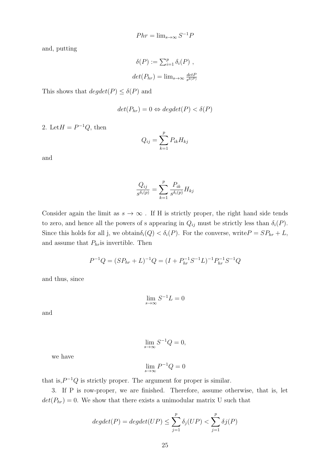$$
Phr = \lim_{s \to \infty} S^{-1}P
$$

and, putting

$$
\delta(P) := \sum_{i=1}^{p} \delta_i(P) ,
$$
  

$$
det(P_{hr}) = \lim_{s \to \infty} \frac{detP}{s^{\delta(P)}}
$$

This shows that  $degdet(P) \leq \delta(P)$  and

$$
det(P_{hr}) = 0 \Leftrightarrow degdet(P) < \delta(P)
$$

2. Let  $H = P^{-1}Q$ , then

$$
Q_{ij} = \sum_{k=1}^{p} P_{ik} H_{kj}
$$

and

$$
\frac{Q_{ij}}{s^{\delta_i(p)}} = \sum_{k=1}^p \frac{P_{ik}}{s^{\delta_i(p)}} H_{kj}
$$

Consider again the limit as  $s \to \infty$ . If H is strictly proper, the right hand side tends to zero, and hence all the powers of s appearing in  $Q_{ij}$  must be strictly less than  $\delta_i(P)$ . Since this holds for all j, we obtain $\delta_i(Q) < \delta_i(P)$ . For the converse, write  $P = SP_{hr} + L$ , and assume that  $P_{hr}$  is invertible. Then

$$
P^{-1}Q = (SP_{hr} + L)^{-1}Q = (I + P_{hr}^{-1}S^{-1}L)^{-1}P_{hr}^{-1}S^{-1}Q
$$

and thus, since

$$
\lim_{s \to \infty} S^{-1} L = 0
$$

and

$$
\lim_{s \to \infty} S^{-1}Q = 0,
$$

we have

$$
\lim_{s \to \infty} P^{-1} Q = 0
$$

that is, $P^{-1}Q$  is strictly proper. The argument for proper is similar.

3. If P is row-proper, we are finished. Therefore, assume otherwise, that is, let  $det(P_{hr}) = 0$ . We show that there exists a unimodular matrix U such that

$$
degdet(P) = degdet(UP) \le \sum_{j=1}^{p} \delta_j(UP) < \sum_{j=1}^{p} \delta_j(P)
$$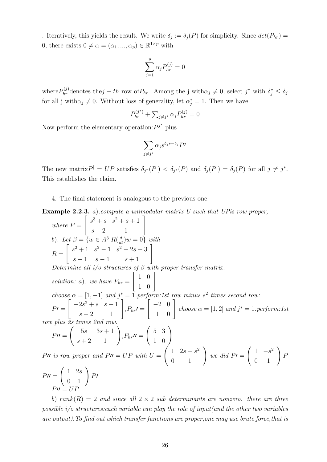. Iteratively, this yields the result. We write  $\delta_j := \delta_j(P)$  for simplicity. Since  $det(P_{hr}) =$ 0, there exists  $0 \neq \alpha = (\alpha_1, ..., \alpha_p) \in \mathbb{R}^{1 \times p}$  with

$$
\sum_{j=1}^p \alpha_j P_{hr}^{(j)} = 0
$$

where  $P_{hr}^{(j)}$  denotes the  $j-th$  row of  $P_{hr}$ . Among the j with  $\alpha_j \neq 0$ , select  $j^*$  with  $\delta_j^* \leq \delta_j$ for all j with $\alpha_j \neq 0$ . Without loss of generality, let  $\alpha_j^* = 1$ . Then we have

$$
P_{hr}^{(j^*)} + \sum_{j \neq j^*} \alpha_j P_{hr}^{(j)} = 0
$$

Now perform the elementary operation:  $P^{j^*}$  plus

$$
\sum_{j \neq j^*} \alpha_j s^{\delta_j * - \delta_j} P^j
$$

The new matrix  $P^{\dagger} = UP$  satisfies  $\delta_{j^*}(P^{\dagger}) < \delta_{j^*}(P)$  and  $\delta_j(P^{\dagger}) = \delta_j(P)$  for all  $j \neq j^*$ . This establishes the claim.

4. The final statement is analogous to the previous one.

**Example 2.2.3.** a).compute a unimodular matrix  $U$  such that  $UP$  is row proper,

where 
$$
P = \begin{bmatrix} s^3 + s & s^2 + s + 1 \ s + 2 & 1 \end{bmatrix}
$$
  
\nb). Let  $\beta = \{w \in A^3 | R(\frac{d}{dt})w = 0\}$  with  
\n $R = \begin{bmatrix} s^2 + 1 & s^2 - 1 & s^2 + 2s + 3 \ s - 1 & s - 1 & s + 1 \end{bmatrix}$   
\nDetermine all  $i/o$  structures of  $\beta$  with proper transfer matrix.  
\nsolution: a). we have  $P_{hr} = \begin{bmatrix} 1 & 0 \ 1 & 0 \ 1 & 0 \end{bmatrix}$   
\nchoose  $\alpha = [1, -1]$  and  $j^* = 1$ .perform:1st row minus  $s^2$  times second row:  
\n $PI = \begin{bmatrix} -2s^2 + s & s + 1 \ s + 2 & 1 \ s + 2 & 1 \end{bmatrix}$ ,  $P_{hr}I = \begin{bmatrix} -2 & 0 \ 1 & 0 \end{bmatrix}$  choose  $\alpha = [1, 2]$  and  $j^* = 1$ .perform:1st  
\nrow plus 2s times 2nd row.  
\n $PII = \begin{pmatrix} 5s & 3s + 1 \ s + 2 & 1 \end{pmatrix}$ ,  $P_{hr}II = \begin{pmatrix} 5 & 3 \ 1 & 0 \end{pmatrix}$   
\n $PII$  is row proper and  $PII = UP$  with  $U = \begin{pmatrix} 1 & 2s - s^2 \ 0 & 1 \end{pmatrix}$  we did  $PI = \begin{pmatrix} 1 & -s^2 \ 0 & 1 \end{pmatrix} P$   
\n $PII = \begin{pmatrix} 1 & 2s \ 0 & 1 \end{pmatrix} PI$   
\n $PII = UP$ 

b) rank $(R) = 2$  and since all  $2 \times 2$  sub determinants are nonzero. there are three possible  $i$  *o* structures: each variable can play the role of input(and the other two variables are output).To find out which transfer functions are proper,one may use brute force,that is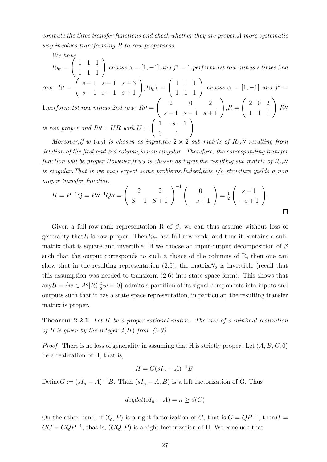compute the three transfer functions and check whether they are proper.A more systematic way involves transforming R to row properness.

We have

 $R_{hr} =$  $\left(\begin{array}{rrr} 1 & 1 & 1 \\ 1 & 1 & 1 \end{array}\right)$ choose  $\alpha = [1, -1]$  and  $j^* = 1$ . perform:1st row minus s times 2nd

row: 
$$
R\prime = \begin{pmatrix} s+1 & s-1 & s+3 \\ s-1 & s-1 & s+1 \end{pmatrix}
$$
,  $R_{hr}\prime = \begin{pmatrix} 1 & 1 & 1 \\ 1 & 1 & 1 \end{pmatrix}$  choose  $\alpha = [1, -1]$  and  $j^* = 1$ .  
1. perform:1st row minus 2nd row:  $R\prime\prime = \begin{pmatrix} 2 & 0 & 2 \\ s-1 & s-1 & s+1 \end{pmatrix}$ ,  $R = \begin{pmatrix} 2 & 0 & 2 \\ 1 & 1 & 1 \end{pmatrix}$ ,  $R\prime\prime = \begin{pmatrix} 2 & 0 & 2 \\ 1 & 1 & 1 \end{pmatrix}$ .

is row proper and  $R\prime\prime = UR$  with  $U =$  $\left(\begin{array}{cc} 1 & -s - 1 \\ 0 & 1 \end{array}\right)$ 

Moreover, if  $w_1(w_3)$  is chosen as input, the  $2 \times 2$  sub matrix of  $R_{hr}$ , resulting from deletion of the first and 3rd column, is non singular. Therefore, the corresponding transfer function will be proper. However, if  $w_2$  is chosen as input, the resulting sub matrix of  $R_{hr}$ " is singular.That is we may expect some problems.Indeed,this i/o structure yields a non proper transfer function

$$
H = P^{-1}Q = P^{\prime\prime}P^{-1}Qu = \begin{pmatrix} 2 & 2 \\ S-1 & S+1 \end{pmatrix}^{-1} \begin{pmatrix} 0 \\ -s+1 \end{pmatrix} = \frac{1}{2} \begin{pmatrix} s-1 \\ -s+1 \end{pmatrix}.
$$

Given a full-row-rank representation R of  $\beta$ , we can thus assume without loss of generality that R is row-proper. Then  $R_{hr}$  has full row rank, and thus it contains a submatrix that is square and invertible. If we choose an input-output decomposition of  $\beta$ such that the output corresponds to such a choice of the columns of R, then one can show that in the resulting representation  $(2.6)$ , the matrix  $N_2$  is invertible (recall that this assumption was needed to transform (2.6) into state space form). This shows that any  $\mathcal{B} = \{w \in A^q | R(\frac{d}{dt}w = 0) \}$  admits a partition of its signal components into inputs and outputs such that it has a state space representation, in particular, the resulting transfer matrix is proper.

Theorem 2.2.1. Let H be a proper rational matrix. The size of a minimal realization of H is given by the integer  $d(H)$  from  $(2.3)$ .

*Proof.* There is no loss of generality in assuming that H is strictly proper. Let  $(A, B, C, 0)$ be a realization of H, that is,

$$
H = C(sI_n - A)^{-1}B.
$$

Define $G := (sI_n - A)^{-1}B$ . Then  $(sI_n - A, B)$  is a left factorization of G. Thus

$$
degdet(sI_n - A) = n \ge d(G)
$$

On the other hand, if  $(Q, P)$  is a right factorization of G, that is,  $G = QP^{-1}$ , then  $H =$  $CG = CQP^{-1}$ , that is,  $(CQ, P)$  is a right factorization of H. We conclude that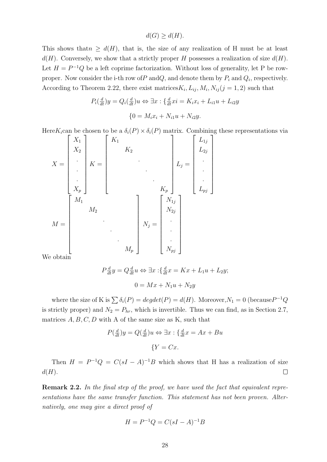$d(G) \geq d(H)$ .

This shows that  $n \geq d(H)$ , that is, the size of any realization of H must be at least  $d(H)$ . Conversely, we show that a strictly proper H possesses a realization of size  $d(H)$ . Let  $H = P^{-1}Q$  be a left coprime factorization. Without loss of generality, let P be rowproper. Now consider the i-th row of  $P$  and  $Q$ , and denote them by  $P_i$  and  $Q_i$ , respectively. According to Theorem 2.22, there exist matrices  $K_i, L_{ij}, M_i, N_{ij}$  ( $j = 1, 2$ ) such that

$$
P_i(\frac{d}{dt})y = Q_i(\frac{d}{dt})u \Leftrightarrow \exists x : \{\frac{d}{dt}xi = K_ix_i + L_{i1}u + L_{i2}y
$$

$$
\{0 = M_ix_i + N_{i1}u + N_{i2}y.
$$

Here  $K_i$ can be chosen to be a  $\delta_i(P) \times \delta_i(P)$  matrix. Combining these representations via

$$
X = \begin{bmatrix} X_1 \\ X_2 \\ \cdot \\ \cdot \\ \cdot \\ X_p \end{bmatrix} K = \begin{bmatrix} K_1 \\ K_2 \\ \cdot \\ \cdot \\ \cdot \\ K_p \end{bmatrix} L_j = \begin{bmatrix} L_{1j} \\ L_{2j} \\ \cdot \\ \cdot \\ \cdot \\ \cdot \\ \cdot \\ M_p \end{bmatrix}
$$
  

$$
M = \begin{bmatrix} M_1 \\ M_2 \\ \cdot \\ \cdot \\ \cdot \\ \cdot \\ \cdot \\ \cdot \\ N_p \end{bmatrix} N_j = \begin{bmatrix} N_{1j} \\ N_{2j} \\ \cdot \\ \cdot \\ \cdot \\ N_{pj} \end{bmatrix}
$$

We obtain

$$
P\frac{d}{dt}y = Q\frac{d}{dt}u \Leftrightarrow \exists x : \{\frac{d}{dt}x = Kx + L_1u + L_2y; \}
$$

$$
0 = Mx + N_1u + N_2y
$$

where the size of K is  $\sum \delta_i(P) = degdet(P) = d(H)$ . Moreover,  $N_1 = 0$  (because  $P^{-1}Q$ is strictly proper) and  $N_2 = P_{hr}$ , which is invertible. Thus we can find, as in Section 2.7, matrices  $A, B, C, D$  with A of the same size as K, such that

$$
P(\frac{d}{dt})y = Q(\frac{d}{dt})u \Leftrightarrow \exists x : \{\frac{d}{dt}x = Ax + Bu
$$

$$
\{Y = Cx.
$$

Then  $H = P^{-1}Q = C(sI - A)^{-1}B$  which shows that H has a realization of size  $\Box$  $d(H)$ .

Remark 2.2. In the final step of the proof, we have used the fact that equivalent representations have the same transfer function. This statement has not been proven. Alternatively, one may give a direct proof of

$$
H = P^{-1}Q = C(sI - A)^{-1}B
$$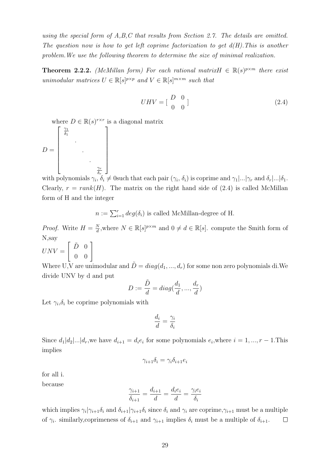using the special form of A,B,C that results from Section 2.7. The details are omitted. The question now is how to get left coprime factorization to get  $d(H)$ . This is another problem.We use the following theorem to determine the size of minimal realization.

**Theorem 2.2.2.** (McMillan form) For each rational matrix  $H \in \mathbb{R}(s)^{p \times m}$  there exist unimodular matrices  $U \in \mathbb{R}[s]^{p \times p}$  and  $V \in \mathbb{R}[s]^{m \times m}$  such that

$$
UHV = \begin{bmatrix} D & 0 \\ 0 & 0 \end{bmatrix} \tag{2.4}
$$

where  $D \in \mathbb{R}(s)^{r \times r}$  is a diagonal matrix

$$
D = \begin{bmatrix} \frac{\gamma_1}{\delta_1} & & & \\ & \ddots & & \\ & & \ddots & \\ & & & \ddots & \\ & & & & \frac{\gamma_r}{\delta_r} \end{bmatrix}
$$

with polynomials  $\gamma_i, \delta_i \neq 0$  such that each pair  $(\gamma_i, \delta_i)$  is coprime and  $\gamma_1 |...|\gamma_r$  and  $\delta_r |...|\delta_1$ . Clearly,  $r = rank(H)$ . The matrix on the right hand side of (2.4) is called McMillan form of H and the integer

 $n := \sum_{i=1}^r deg(\delta_i)$  is called McMillan-degree of H.

*Proof.* Write  $H = \frac{N}{d}$  $\frac{N}{d}$ , where  $N \in \mathbb{R}[s]^{p \times m}$  and  $0 \neq d \in \mathbb{R}[s]$ . compute the Smith form of N,say

 $UNV =$  $\left[\begin{array}{cc} \tilde{D} & 0 \\ 0 & 0 \end{array}\right]$ 

Where U,V are unimodular and  $\tilde{D} = diag(d_1, ..., d_r)$  for some non zero polynomials di.We divide UNV by d and put

$$
D := \frac{\tilde{D}}{d} = diag(\frac{d_1}{d}, ..., \frac{d_r}{d})
$$

Let  $\gamma_i, \delta_i$  be coprime polynomials with

$$
\frac{d_i}{d} = \frac{\gamma_i}{\delta_i}
$$

Since  $d_1|d_2|...|d_r$ , we have  $d_{i+1} = d_i e_i$  for some polynomials  $e_i$ , where  $i = 1, ..., r - 1$ . This implies

$$
\gamma_{i+1}\delta_i=\gamma_i\delta_{i+1}e_i
$$

for all i.

because

$$
\frac{\gamma_{i+1}}{\delta_{i+1}} = \frac{d_{i+1}}{d} = \frac{d_i e_i}{d} = \frac{\gamma_i e_i}{\delta_i}
$$

which implies  $\gamma_i|\gamma_{i+1}\delta_i$  and  $\delta_{i+1}|\gamma_{i+1}\delta_i$  since  $\delta_i$  and  $\gamma_i$  are coprime,  $\gamma_{i+1}$  must be a multiple of  $\gamma_i$ . similarly, coprimeness of  $\delta_{i+1}$  and  $\gamma_{i+1}$  implies  $\delta_i$  must be a multiple of  $\delta_{i+1}$ .  $\Box$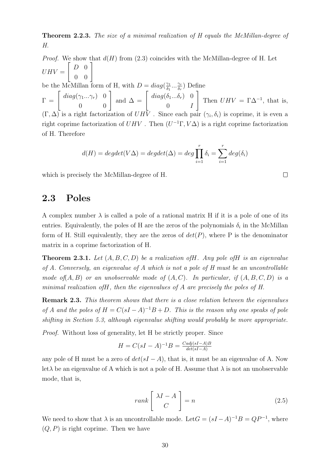Theorem 2.2.3. The size of a minimal realization of H equals the McMillan-degree of H.

*Proof.* We show that  $d(H)$  from (2.3) coincides with the McMillan-degree of H. Let  $UHV =$  $\left[\begin{array}{cc} D & 0 \\ 0 & 0 \end{array}\right]$ be the McMillan form of H, with  $D = diag(\frac{\gamma_1}{\delta_1})$  $\frac{\gamma_1}{\delta_1} \dots \frac{\gamma_r}{\delta_r}$  $\frac{\gamma_r}{\delta_r}$ ) Define  $\Gamma = \left[ \begin{array}{cc} diag(\gamma_1...\gamma_r) & 0 \ 0 & 0 \end{array} \right] \text{ and } \Delta = \left[ \begin{array}{cc} diag(\delta_1...\delta_r) & 0 \ 0 & I \end{array} \right]$  $0$   $I$ 1 Then  $UHV = \Gamma \Delta^{-1}$ , that is,  $(\Gamma, \Delta)$  is a right factorization of  $UHV$ . Since each pair  $(\gamma_i, \delta_i)$  is coprime, it is even a right coprime factorization of  $UHV$ . Then  $(U^{-1}\Gamma, V\Delta)$  is a right coprime factorization of H. Therefore

$$
d(H) = degdet(V\Delta) = degdet(\Delta) = deg \prod_{i=1}^{r} \delta_i = \sum_{i=1}^{r} deg(\delta_i)
$$

which is precisely the McMillan-degree of H.

#### 2.3 Poles

A complex number  $\lambda$  is called a pole of a rational matrix H if it is a pole of one of its entries. Equivalently, the poles of H are the zeros of the polynomials  $\delta_i$  in the McMillan form of H. Still equivalently, they are the zeros of  $det(P)$ , where P is the denominator matrix in a coprime factorization of H.

**Theorem 2.3.1.** Let  $(A, B, C, D)$  be a realization of H. Any pole of H is an eigenvalue of A. Conversely, an eigenvalue of A which is not a pole of H must be an uncontrollable mode of  $(A, B)$  or an unobservable mode of  $(A, C)$ . In particular, if  $(A, B, C, D)$  is a minimal realization ofH, then the eigenvalues of A are precisely the poles of H.

**Remark 2.3.** This theorem shows that there is a close relation between the eigenvalues of A and the poles of  $H = C(sI - A)^{-1}B + D$ . This is the reason why one speaks of pole shifting in Section 5.3, although eigenvalue shifting would probably be more appropriate.

Proof. Without loss of generality, let H be strictly proper. Since

$$
H = C(sI - A)^{-1}B = \frac{Cadj(sI - A)B}{det(sI - A)}
$$

any pole of H must be a zero of  $det(sI - A)$ , that is, it must be an eigenvalue of A. Now let  $\lambda$  be an eigenvalue of A which is not a pole of H. Assume that  $\lambda$  is not an unobservable mode, that is,

$$
rank\left[\begin{array}{c} \lambda I - A \\ C \end{array}\right] = n \tag{2.5}
$$

We need to show that  $\lambda$  is an uncontrollable mode. Let  $G = (sI - A)^{-1}B = QP^{-1}$ , where  $(Q, P)$  is right coprime. Then we have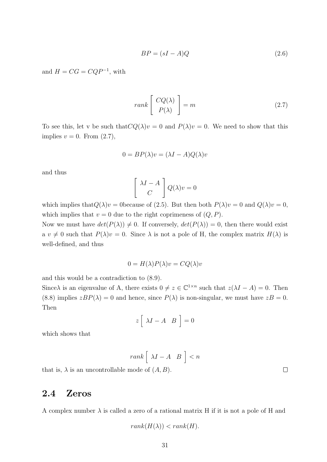$$
BP = (sI - A)Q \tag{2.6}
$$

and  $H = CG = CQP^{-1}$ , with

$$
rank \left[ \begin{array}{c} CQ(\lambda) \\ P(\lambda) \end{array} \right] = m \tag{2.7}
$$

To see this, let v be such that  $CQ(\lambda)v = 0$  and  $P(\lambda)v = 0$ . We need to show that this implies  $v = 0$ . From  $(2.7)$ ,

$$
0 = BP(\lambda)v = (\lambda I - A)Q(\lambda)v
$$

and thus

$$
\left[\begin{array}{c} \lambda I - A \\ C \end{array}\right] Q(\lambda)v = 0
$$

which implies that  $Q(\lambda)v = 0$  because of (2.5). But then both  $P(\lambda)v = 0$  and  $Q(\lambda)v = 0$ , which implies that  $v = 0$  due to the right coprimeness of  $(Q, P)$ .

Now we must have  $det(P(\lambda)) \neq 0$ . If conversely,  $det(P(\lambda)) = 0$ , then there would exist a  $v \neq 0$  such that  $P(\lambda)v = 0$ . Since  $\lambda$  is not a pole of H, the complex matrix  $H(\lambda)$  is well-defined, and thus

$$
0 = H(\lambda)P(\lambda)v = CQ(\lambda)v
$$

and this would be a contradiction to (8.9).

Since  $\lambda$  is an eigenvalue of A, there exists  $0 \neq z \in \mathbb{C}^{1 \times n}$  such that  $z(\lambda I - A) = 0$ . Then (8.8) implies  $zBP(\lambda) = 0$  and hence, since  $P(\lambda)$  is non-singular, we must have  $zB = 0$ . Then

$$
z\left[\begin{array}{cc} \lambda I - A & B \end{array}\right] = 0
$$

which shows that

$$
rank \left[ \begin{array}{cc} \lambda I - A & B \end{array} \right] < n
$$

that is,  $\lambda$  is an uncontrollable mode of  $(A, B)$ .

#### 2.4 Zeros

A complex number  $\lambda$  is called a zero of a rational matrix H if it is not a pole of H and

$$
rank(H(\lambda)) < rank(H).
$$

 $\Box$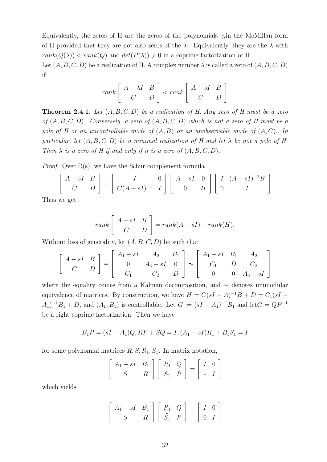Equivalently, the zeros of H are the zeros of the polynomials  $\gamma_i$  in the McMillan form of H provided that they are not also zeros of the  $\delta_i$ . Equivalently, they are the  $\lambda$  with  $rank(Q(\lambda)) < rank(Q)$  and  $det(P(\lambda)) \neq 0$  in a coprime factorization of H.

Let  $(A, B, C, D)$  be a realization of H. A complex number  $\lambda$  is called a zero of  $(A, B, C, D)$ if

$$
rank \left[ \begin{array}{cc} A - \lambda I & B \\ C & D \end{array} \right] < rank \left[ \begin{array}{cc} A - sI & B \\ C & D \end{array} \right]
$$

**Theorem 2.4.1.** Let  $(A, B, C, D)$  be a realization of H. Any zero of H must be a zero of  $(A, B, C, D)$ . Conversely, a zero of  $(A, B, C, D)$  which is not a zero of H must be a pole of H or an uncontrollable mode of  $(A, B)$  or an unobservable mode of  $(A, C)$ . In particular, let  $(A, B, C, D)$  be a minimal realization of H and let  $\lambda$  be not a pole of H. Then  $\lambda$  is a zero of H if and only if it is a zero of  $(A, B, C, D)$ .

*Proof.* Over  $R(s)$ , we have the Schur complement formula

$$
\begin{bmatrix}\nA-sI & B \\
C & D\n\end{bmatrix} =\n\begin{bmatrix}\nI & 0 \\
C(A-sI)^{-1} & I\n\end{bmatrix}\n\begin{bmatrix}\nA-sI & 0 \\
0 & H\n\end{bmatrix}\n\begin{bmatrix}\nI & (A-sI)^{-1}B \\
0 & I\n\end{bmatrix}
$$

Thus we get

$$
rank \left[ \begin{array}{cc} A - sI & B \\ C & D \end{array} \right] = rank(A - sI) + rank(H).
$$

Without loss of generality, let  $(A, B, C, D)$  be such that

$$
\begin{bmatrix} A-sI & B \\ C & D \end{bmatrix} = \begin{bmatrix} A_1 - sI & A_2 & B_1 \\ 0 & A_3 - sI & 0 \\ C_1 & C_2 & D \end{bmatrix} \sim \begin{bmatrix} A_1 - sI & B_1 & A_2 \\ C_1 & D & C_2 \\ 0 & 0 & A_3 - sI \end{bmatrix}
$$

where the equality comes from a Kalman decomposition, and ∼ denotes unimodular equivalence of matrices. By construction, we have  $H = C(sI - A)^{-1}B + D = C_1(sI - A)^{-1}B$  $(A_1)^{-1}B_1 + D$ , and  $(A_1, B_1)$  is controllable. Let  $G := (sI - A_1)^{-1}B_1$  and let  $G = QP^{-1}$ be a right coprime factorization. Then we have

$$
B_1P = (sI - A_1)Q, RP + SQ = I, (A_1 - sI)R_1 + B_1S_1 = I
$$

for some polynomial matrices  $R, S, R_1, S_1$ . In matrix notation,

$$
\left[\begin{array}{cc} A_1 - sI & B_1 \\ S & R \end{array}\right] \left[\begin{array}{cc} R_1 & Q \\ S_1 & P \end{array}\right] = \left[\begin{array}{cc} I & 0 \\ * & I \end{array}\right]
$$

which yields

$$
\left[\begin{array}{cc} A_1 - sI & B_1 \\ S & R \end{array}\right] \left[\begin{array}{cc} \tilde{R}_1 & Q \\ \tilde{S}_1 & P \end{array}\right] = \left[\begin{array}{cc} I & 0 \\ 0 & I \end{array}\right]
$$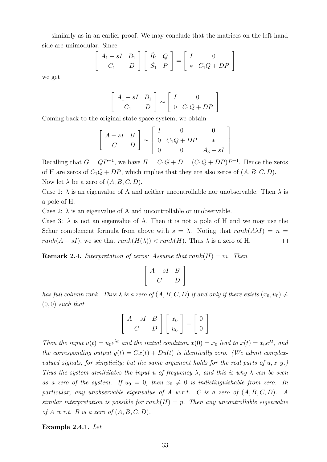similarly as in an earlier proof. We may conclude that the matrices on the left hand side are unimodular. Since

$$
\begin{bmatrix} A_1 - sI & B_1 \ C_1 & D \end{bmatrix} \begin{bmatrix} \tilde{R}_1 & Q \ \tilde{S}_1 & P \end{bmatrix} = \begin{bmatrix} I & 0 \ * & C_1Q + DP \end{bmatrix}
$$

we get

$$
\left[\begin{array}{cc} A_1 - sI & B_1 \\ C_1 & D \end{array}\right] \sim \left[\begin{array}{cc} I & 0 \\ 0 & C_1Q + DP \end{array}\right]
$$

Coming back to the original state space system, we obtain

$$
\left[\begin{array}{cc} A-sI & B \\ C & D \end{array}\right] \sim \left[\begin{array}{ccc} I & 0 & 0 \\ 0 & C_1Q+DP & * \\ 0 & 0 & A_3-sI \end{array}\right]
$$

Recalling that  $G = QP^{-1}$ , we have  $H = C_1G + D = (C_1Q + DP)P^{-1}$ . Hence the zeros of H are zeros of  $C_1Q + DP$ , which implies that they are also zeros of  $(A, B, C, D)$ . Now let  $\lambda$  be a zero of  $(A, B, C, D)$ .

Case 1:  $\lambda$  is an eigenvalue of A and neither uncontrollable nor unobservable. Then  $\lambda$  is a pole of H.

Case 2:  $\lambda$  is an eigenvalue of A and uncontrollable or unobservable.

Case 3:  $\lambda$  is not an eigenvalue of A. Then it is not a pole of H and we may use the Schur complement formula from above with  $s = \lambda$ . Noting that  $rank(A\lambda I) = n$  $rank(A - sI)$ , we see that  $rank(H(\lambda)) < rank(H)$ . Thus  $\lambda$  is a zero of H.  $\Box$ 

**Remark 2.4.** Interpretation of zeros: Assume that  $rank(H) = m$ . Then

$$
\left[\begin{array}{cc}A-sI & B \\ C & D\end{array}\right]
$$

has full column rank. Thus  $\lambda$  is a zero of  $(A, B, C, D)$  if and only if there exists  $(x_0, u_0) \neq$  $(0, 0)$  such that

$$
\left[\begin{array}{cc} A-sI & B \\ C & D \end{array}\right] \left[\begin{array}{c} x_0 \\ u_0 \end{array}\right] = \left[\begin{array}{c} 0 \\ 0 \end{array}\right]
$$

Then the input  $u(t) = u_0 e^{\lambda t}$  and the initial condition  $x(0) = x_0$  lead to  $x(t) = x_0 e^{\lambda t}$ , and the corresponding output  $y(t) = Cx(t) + Du(t)$  is identically zero. (We admit complexvalued signals, for simplicity; but the same argument holds for the real parts of  $u, x, y$ .) Thus the system annihilates the input u of frequency  $\lambda$ , and this is why  $\lambda$  can be seen as a zero of the system. If  $u_0 = 0$ , then  $x_0 \neq 0$  is indistinguishable from zero. In particular, any unobservable eigenvalue of A w.r.t. C is a zero of  $(A, B, C, D)$ . A similar interpretation is possible for  $rank(H) = p$ . Then any uncontrollable eigenvalue of A w.r.t. B is a zero of  $(A, B, C, D)$ .

Example 2.4.1. Let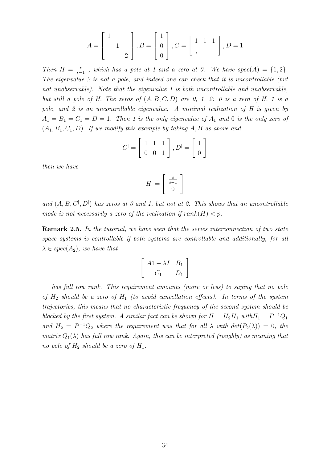$$
A = \begin{bmatrix} 1 \\ 1 \\ 2 \end{bmatrix}, B = \begin{bmatrix} 1 \\ 0 \\ 0 \end{bmatrix}, C = \begin{bmatrix} 1 & 1 & 1 \\ 0 & 1 & 1 \end{bmatrix}, D = 1
$$

Then  $H = \frac{s}{s}$  $\frac{s}{s-1}$ , which has a pole at 1 and a zero at 0. We have  $spec(A) = \{1,2\}.$ The eigenvalue 2 is not a pole, and indeed one can check that it is uncontrollable (but not unobservable). Note that the eigenvalue 1 is both uncontrollable and unobservable, but still a pole of H. The zeros of  $(A, B, C, D)$  are 0, 1, 2: 0 is a zero of H, 1 is a pole, and 2 is an uncontrollable eigenvalue. A minimal realization of H is given by  $A_1 = B_1 = C_1 = D = 1$ . Then 1 is the only eigenvalue of  $A_1$  and 0 is the only zero of  $(A_1, B_1, C_1, D)$ . If we modify this example by taking A, B as above and

$$
C^{\parallel} = \left[ \begin{array}{rr} 1 & 1 & 1 \\ 0 & 0 & 1 \end{array} \right], D^{\parallel} = \left[ \begin{array}{c} 1 \\ 0 \end{array} \right]
$$

then we have

$$
H^|=\left[\begin{array}{c} \frac{s}{s-1} \\ 0 \end{array}\right]
$$

and  $(A, B, C^{\vert}, D^{\vert})$  has zeros at 0 and 1, but not at 2. This shows that an uncontrollable mode is not necessarily a zero of the realization if  $rank(H) < p$ .

**Remark 2.5.** In the tutorial, we have seen that the series interconnection of two state space systems is controllable if both systems are controllable and additionally, for all  $\lambda \in spec(A_2)$ , we have that

$$
\left[\begin{array}{cc} A1-\lambda I & B_1 \\ C_1 & D_1 \end{array}\right]
$$

has full row rank. This requirement amounts (more or less) to saying that no pole of  $H_2$  should be a zero of  $H_1$  (to avoid cancellation effects). In terms of the system trajectories, this means that no characteristic frequency of the second system should be blocked by the first system. A similar fact can be shown for  $H = H_2 H_1$  with  $H_1 = P^{-1} Q_1$ and  $H_2 = P^{-1}Q_2$  where the requirement was that for all  $\lambda$  with  $det(P_2(\lambda)) = 0$ , the matrix  $Q_1(\lambda)$  has full row rank. Again, this can be interpreted (roughly) as meaning that no pole of  $H_2$  should be a zero of  $H_1$ .